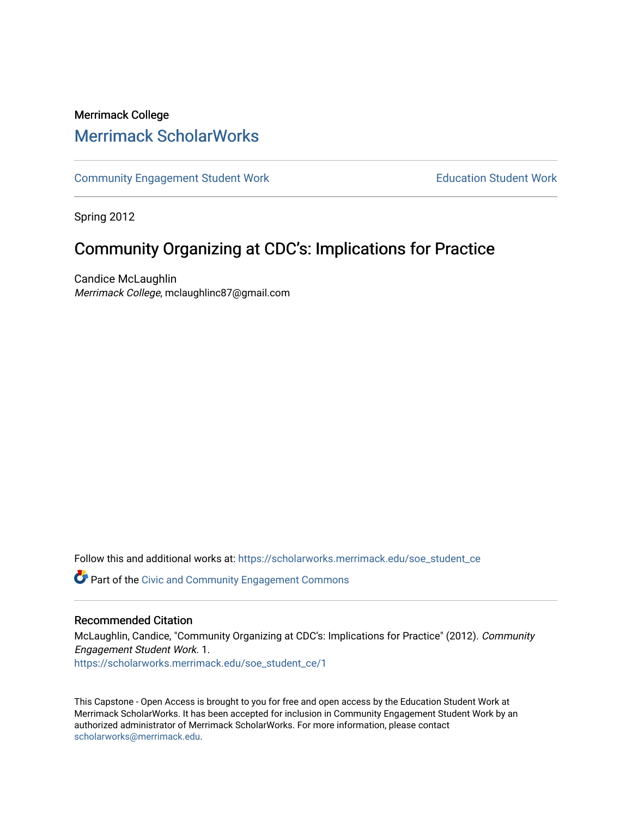# Merrimack College [Merrimack ScholarWorks](https://scholarworks.merrimack.edu/)

[Community Engagement Student Work](https://scholarworks.merrimack.edu/soe_student_ce) **Education Student Work** Education Student Work

Spring 2012

# Community Organizing at CDC's: Implications for Practice

Candice McLaughlin Merrimack College, mclaughlinc87@gmail.com

Follow this and additional works at: [https://scholarworks.merrimack.edu/soe\\_student\\_ce](https://scholarworks.merrimack.edu/soe_student_ce?utm_source=scholarworks.merrimack.edu%2Fsoe_student_ce%2F1&utm_medium=PDF&utm_campaign=PDFCoverPages) 

Part of the [Civic and Community Engagement Commons](http://network.bepress.com/hgg/discipline/1028?utm_source=scholarworks.merrimack.edu%2Fsoe_student_ce%2F1&utm_medium=PDF&utm_campaign=PDFCoverPages)

#### Recommended Citation

McLaughlin, Candice, "Community Organizing at CDC's: Implications for Practice" (2012). Community Engagement Student Work. 1. [https://scholarworks.merrimack.edu/soe\\_student\\_ce/1](https://scholarworks.merrimack.edu/soe_student_ce/1?utm_source=scholarworks.merrimack.edu%2Fsoe_student_ce%2F1&utm_medium=PDF&utm_campaign=PDFCoverPages) 

This Capstone - Open Access is brought to you for free and open access by the Education Student Work at Merrimack ScholarWorks. It has been accepted for inclusion in Community Engagement Student Work by an authorized administrator of Merrimack ScholarWorks. For more information, please contact [scholarworks@merrimack.edu](mailto:scholarworks@merrimack.edu).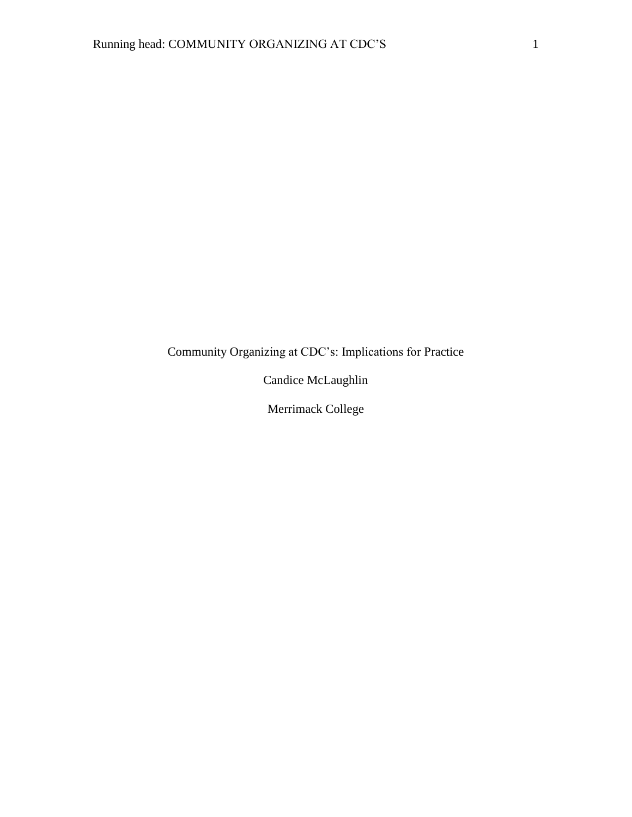# Community Organizing at CDC's: Implications for Practice

Candice McLaughlin

Merrimack College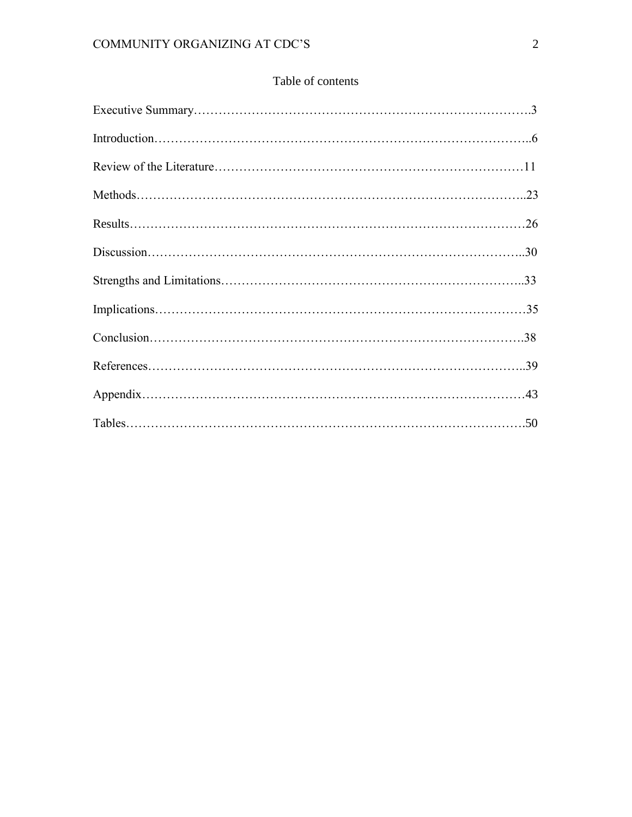## Table of contents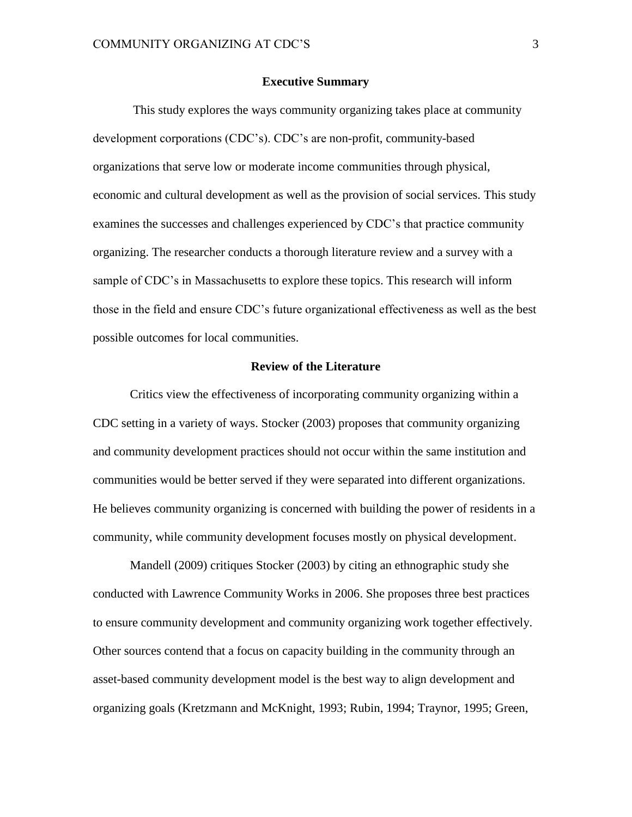#### **Executive Summary**

This study explores the ways community organizing takes place at community development corporations (CDC's). CDC's are non-profit, community-based organizations that serve low or moderate income communities through physical, economic and cultural development as well as the provision of social services. This study examines the successes and challenges experienced by CDC's that practice community organizing. The researcher conducts a thorough literature review and a survey with a sample of CDC's in Massachusetts to explore these topics. This research will inform those in the field and ensure CDC's future organizational effectiveness as well as the best possible outcomes for local communities.

#### **Review of the Literature**

Critics view the effectiveness of incorporating community organizing within a CDC setting in a variety of ways. Stocker (2003) proposes that community organizing and community development practices should not occur within the same institution and communities would be better served if they were separated into different organizations. He believes community organizing is concerned with building the power of residents in a community, while community development focuses mostly on physical development.

Mandell (2009) critiques Stocker (2003) by citing an ethnographic study she conducted with Lawrence Community Works in 2006. She proposes three best practices to ensure community development and community organizing work together effectively. Other sources contend that a focus on capacity building in the community through an asset-based community development model is the best way to align development and organizing goals (Kretzmann and McKnight, 1993; Rubin, 1994; Traynor, 1995; Green,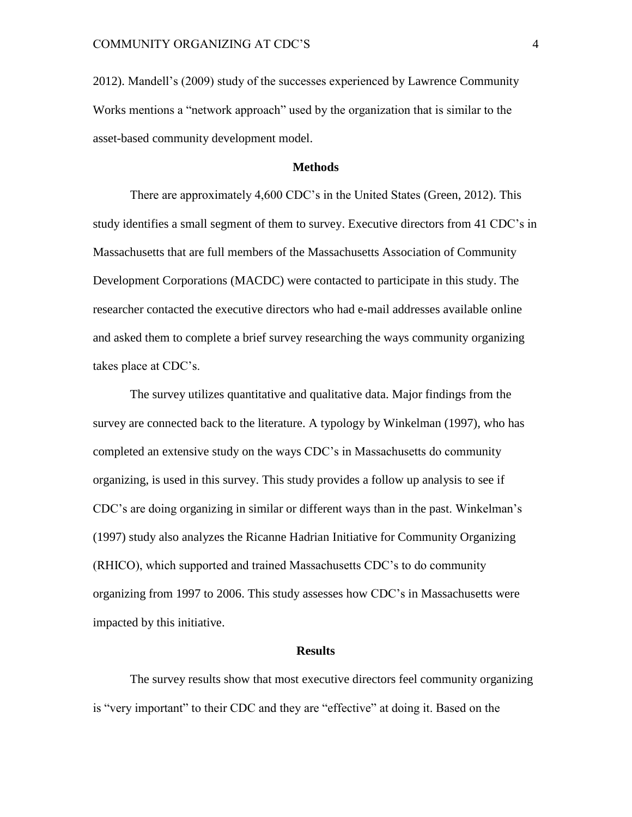2012). Mandell's (2009) study of the successes experienced by Lawrence Community Works mentions a "network approach" used by the organization that is similar to the asset-based community development model.

#### **Methods**

There are approximately 4,600 CDC's in the United States (Green, 2012). This study identifies a small segment of them to survey. Executive directors from 41 CDC's in Massachusetts that are full members of the Massachusetts Association of Community Development Corporations (MACDC) were contacted to participate in this study. The researcher contacted the executive directors who had e-mail addresses available online and asked them to complete a brief survey researching the ways community organizing takes place at CDC's.

The survey utilizes quantitative and qualitative data. Major findings from the survey are connected back to the literature. A typology by Winkelman (1997), who has completed an extensive study on the ways CDC's in Massachusetts do community organizing, is used in this survey. This study provides a follow up analysis to see if CDC's are doing organizing in similar or different ways than in the past. Winkelman's (1997) study also analyzes the Ricanne Hadrian Initiative for Community Organizing (RHICO), which supported and trained Massachusetts CDC's to do community organizing from 1997 to 2006. This study assesses how CDC's in Massachusetts were impacted by this initiative.

#### **Results**

The survey results show that most executive directors feel community organizing is "very important" to their CDC and they are "effective" at doing it. Based on the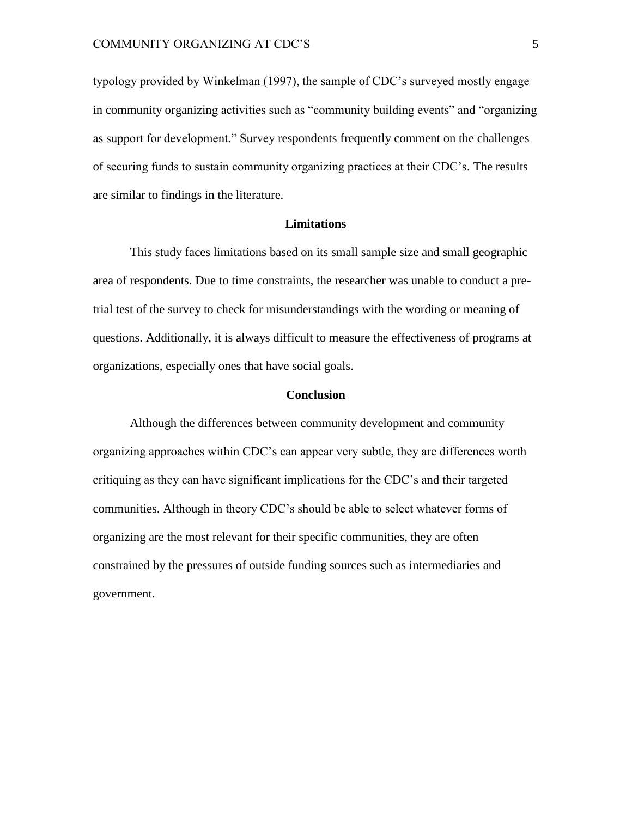typology provided by Winkelman (1997), the sample of CDC's surveyed mostly engage in community organizing activities such as "community building events" and "organizing as support for development." Survey respondents frequently comment on the challenges of securing funds to sustain community organizing practices at their CDC's. The results are similar to findings in the literature.

#### **Limitations**

This study faces limitations based on its small sample size and small geographic area of respondents. Due to time constraints, the researcher was unable to conduct a pretrial test of the survey to check for misunderstandings with the wording or meaning of questions. Additionally, it is always difficult to measure the effectiveness of programs at organizations, especially ones that have social goals.

#### **Conclusion**

Although the differences between community development and community organizing approaches within CDC's can appear very subtle, they are differences worth critiquing as they can have significant implications for the CDC's and their targeted communities. Although in theory CDC's should be able to select whatever forms of organizing are the most relevant for their specific communities, they are often constrained by the pressures of outside funding sources such as intermediaries and government.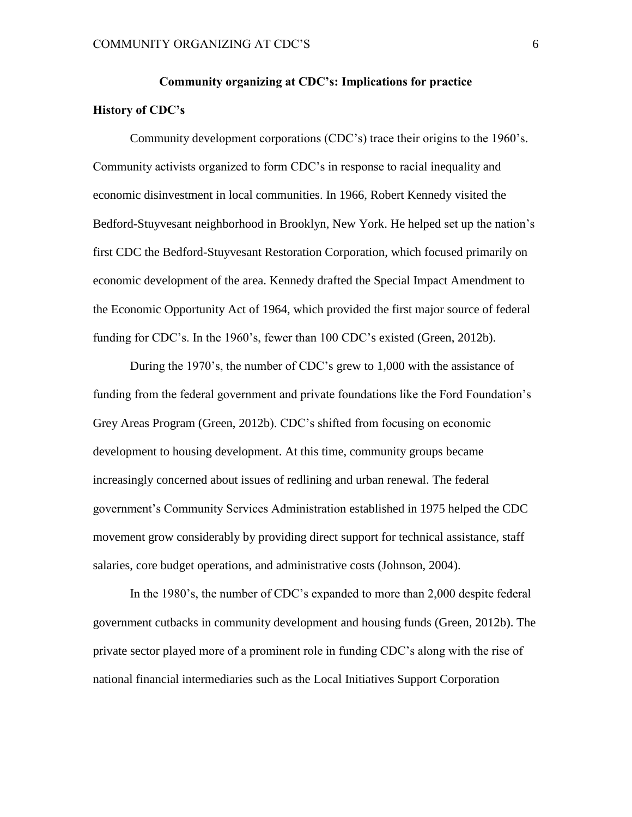# **Community organizing at CDC's: Implications for practice History of CDC's**

Community development corporations (CDC's) trace their origins to the 1960's. Community activists organized to form CDC's in response to racial inequality and economic disinvestment in local communities. In 1966, Robert Kennedy visited the Bedford-Stuyvesant neighborhood in Brooklyn, New York. He helped set up the nation's first CDC the Bedford-Stuyvesant Restoration Corporation, which focused primarily on economic development of the area. Kennedy drafted the Special Impact Amendment to the Economic Opportunity Act of 1964, which provided the first major source of federal funding for CDC's. In the 1960's, fewer than 100 CDC's existed (Green, 2012b).

During the 1970's, the number of CDC's grew to 1,000 with the assistance of funding from the federal government and private foundations like the Ford Foundation's Grey Areas Program (Green, 2012b). CDC's shifted from focusing on economic development to housing development. At this time, community groups became increasingly concerned about issues of redlining and urban renewal. The federal government's Community Services Administration established in 1975 helped the CDC movement grow considerably by providing direct support for technical assistance, staff salaries, core budget operations, and administrative costs (Johnson, 2004).

In the 1980's, the number of CDC's expanded to more than 2,000 despite federal government cutbacks in community development and housing funds (Green, 2012b). The private sector played more of a prominent role in funding CDC's along with the rise of national financial intermediaries such as the Local Initiatives Support Corporation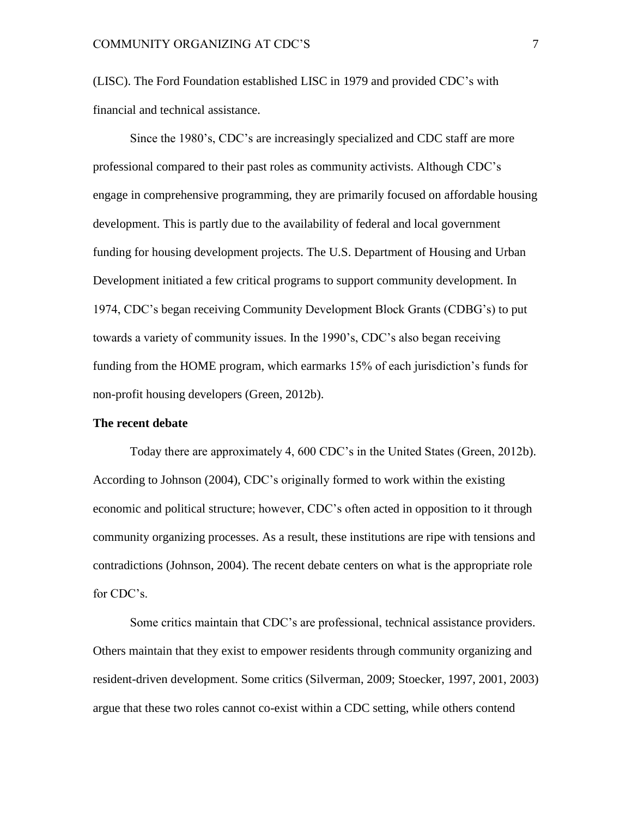(LISC). The Ford Foundation established LISC in 1979 and provided CDC's with financial and technical assistance.

Since the 1980's, CDC's are increasingly specialized and CDC staff are more professional compared to their past roles as community activists. Although CDC's engage in comprehensive programming, they are primarily focused on affordable housing development. This is partly due to the availability of federal and local government funding for housing development projects. The U.S. Department of Housing and Urban Development initiated a few critical programs to support community development. In 1974, CDC's began receiving Community Development Block Grants (CDBG's) to put towards a variety of community issues. In the 1990's, CDC's also began receiving funding from the HOME program, which earmarks 15% of each jurisdiction's funds for non-profit housing developers (Green, 2012b).

#### **The recent debate**

Today there are approximately 4, 600 CDC's in the United States (Green, 2012b). According to Johnson (2004), CDC's originally formed to work within the existing economic and political structure; however, CDC's often acted in opposition to it through community organizing processes. As a result, these institutions are ripe with tensions and contradictions (Johnson, 2004). The recent debate centers on what is the appropriate role for CDC's.

Some critics maintain that CDC's are professional, technical assistance providers. Others maintain that they exist to empower residents through community organizing and resident-driven development. Some critics (Silverman, 2009; Stoecker, 1997, 2001, 2003) argue that these two roles cannot co-exist within a CDC setting, while others contend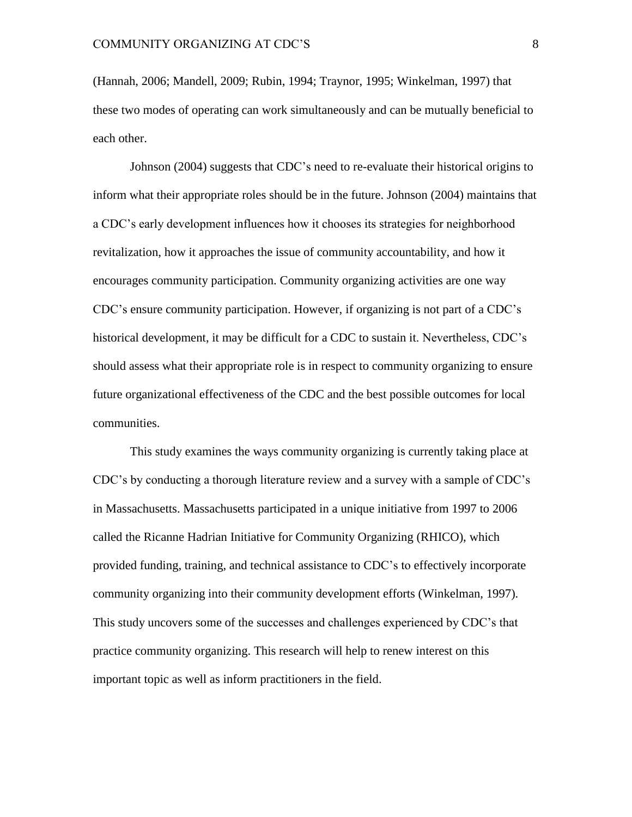(Hannah, 2006; Mandell, 2009; Rubin, 1994; Traynor, 1995; Winkelman, 1997) that these two modes of operating can work simultaneously and can be mutually beneficial to each other.

Johnson (2004) suggests that CDC's need to re-evaluate their historical origins to inform what their appropriate roles should be in the future. Johnson (2004) maintains that a CDC's early development influences how it chooses its strategies for neighborhood revitalization, how it approaches the issue of community accountability, and how it encourages community participation. Community organizing activities are one way CDC's ensure community participation. However, if organizing is not part of a CDC's historical development, it may be difficult for a CDC to sustain it. Nevertheless, CDC's should assess what their appropriate role is in respect to community organizing to ensure future organizational effectiveness of the CDC and the best possible outcomes for local communities.

This study examines the ways community organizing is currently taking place at CDC's by conducting a thorough literature review and a survey with a sample of CDC's in Massachusetts. Massachusetts participated in a unique initiative from 1997 to 2006 called the Ricanne Hadrian Initiative for Community Organizing (RHICO), which provided funding, training, and technical assistance to CDC's to effectively incorporate community organizing into their community development efforts (Winkelman, 1997). This study uncovers some of the successes and challenges experienced by CDC's that practice community organizing. This research will help to renew interest on this important topic as well as inform practitioners in the field.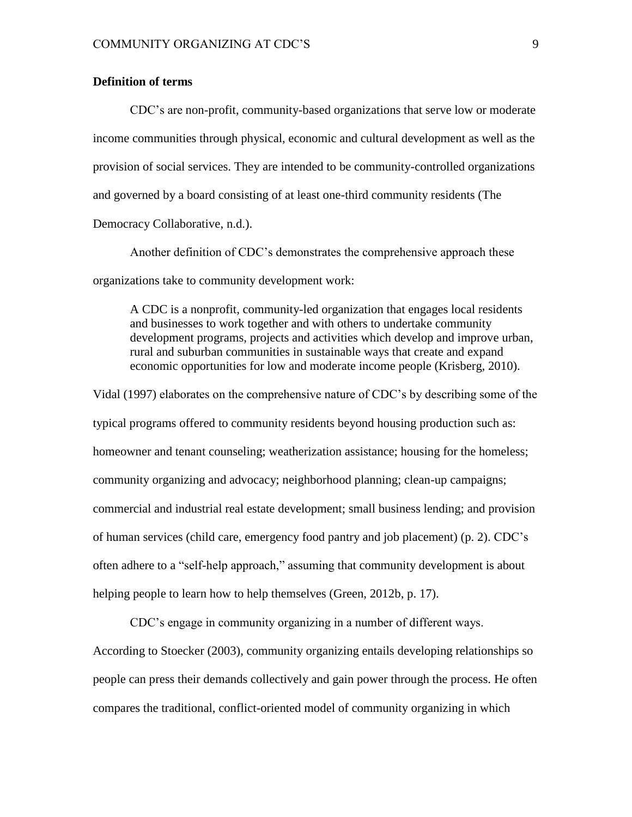#### **Definition of terms**

CDC's are non-profit, community-based organizations that serve low or moderate income communities through physical, economic and cultural development as well as the provision of social services. They are intended to be community-controlled organizations and governed by a board consisting of at least one-third community residents (The Democracy Collaborative, n.d.).

Another definition of CDC's demonstrates the comprehensive approach these organizations take to community development work:

A CDC is a nonprofit, community-led organization that engages local residents and businesses to work together and with others to undertake community development programs, projects and activities which develop and improve urban, rural and suburban communities in sustainable ways that create and expand economic opportunities for low and moderate income people (Krisberg, 2010).

Vidal (1997) elaborates on the comprehensive nature of CDC's by describing some of the typical programs offered to community residents beyond housing production such as: homeowner and tenant counseling; weatherization assistance; housing for the homeless; community organizing and advocacy; neighborhood planning; clean-up campaigns; commercial and industrial real estate development; small business lending; and provision of human services (child care, emergency food pantry and job placement) (p. 2). CDC's often adhere to a "self-help approach," assuming that community development is about helping people to learn how to help themselves (Green, 2012b, p. 17).

CDC's engage in community organizing in a number of different ways. According to Stoecker (2003), community organizing entails developing relationships so people can press their demands collectively and gain power through the process. He often compares the traditional, conflict-oriented model of community organizing in which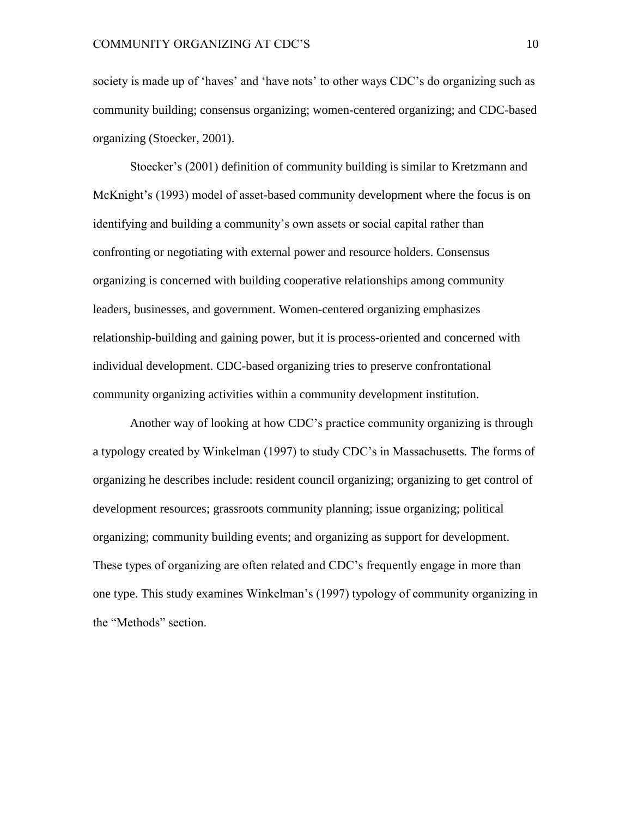society is made up of 'haves' and 'have nots' to other ways CDC's do organizing such as community building; consensus organizing; women-centered organizing; and CDC-based organizing (Stoecker, 2001).

Stoecker's (2001) definition of community building is similar to Kretzmann and McKnight's (1993) model of asset-based community development where the focus is on identifying and building a community's own assets or social capital rather than confronting or negotiating with external power and resource holders. Consensus organizing is concerned with building cooperative relationships among community leaders, businesses, and government. Women-centered organizing emphasizes relationship-building and gaining power, but it is process-oriented and concerned with individual development. CDC-based organizing tries to preserve confrontational community organizing activities within a community development institution.

Another way of looking at how CDC's practice community organizing is through a typology created by Winkelman (1997) to study CDC's in Massachusetts. The forms of organizing he describes include: resident council organizing; organizing to get control of development resources; grassroots community planning; issue organizing; political organizing; community building events; and organizing as support for development. These types of organizing are often related and CDC's frequently engage in more than one type. This study examines Winkelman's (1997) typology of community organizing in the "Methods" section.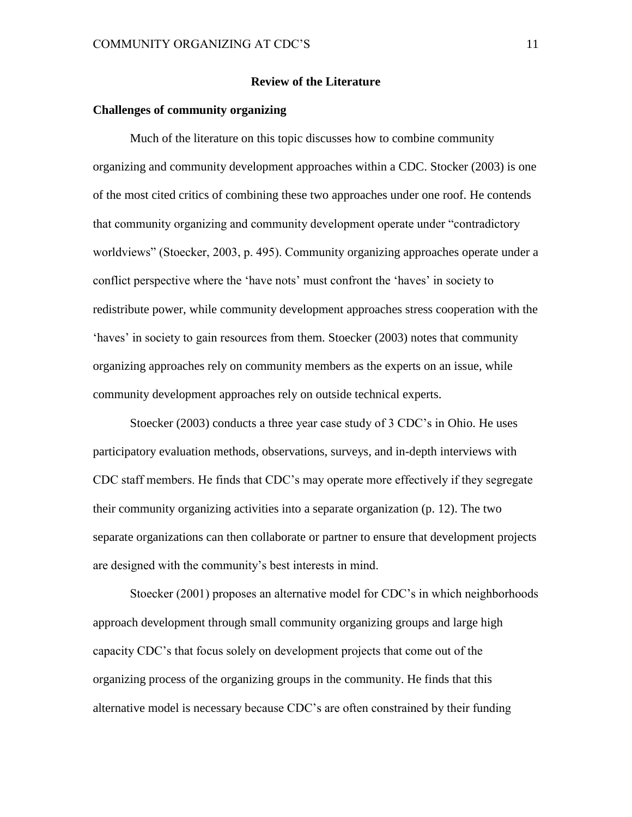#### **Review of the Literature**

#### **Challenges of community organizing**

Much of the literature on this topic discusses how to combine community organizing and community development approaches within a CDC. Stocker (2003) is one of the most cited critics of combining these two approaches under one roof. He contends that community organizing and community development operate under "contradictory worldviews" (Stoecker, 2003, p. 495). Community organizing approaches operate under a conflict perspective where the 'have nots' must confront the 'haves' in society to redistribute power, while community development approaches stress cooperation with the 'haves' in society to gain resources from them. Stoecker (2003) notes that community organizing approaches rely on community members as the experts on an issue, while community development approaches rely on outside technical experts.

Stoecker (2003) conducts a three year case study of 3 CDC's in Ohio. He uses participatory evaluation methods, observations, surveys, and in-depth interviews with CDC staff members. He finds that CDC's may operate more effectively if they segregate their community organizing activities into a separate organization (p. 12). The two separate organizations can then collaborate or partner to ensure that development projects are designed with the community's best interests in mind.

Stoecker (2001) proposes an alternative model for CDC's in which neighborhoods approach development through small community organizing groups and large high capacity CDC's that focus solely on development projects that come out of the organizing process of the organizing groups in the community. He finds that this alternative model is necessary because CDC's are often constrained by their funding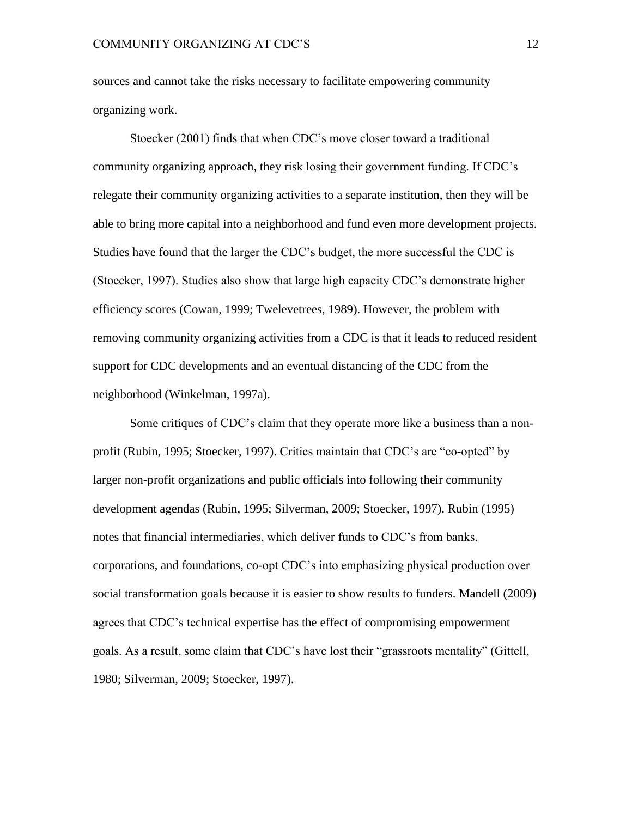sources and cannot take the risks necessary to facilitate empowering community organizing work.

Stoecker (2001) finds that when CDC's move closer toward a traditional community organizing approach, they risk losing their government funding. If CDC's relegate their community organizing activities to a separate institution, then they will be able to bring more capital into a neighborhood and fund even more development projects. Studies have found that the larger the CDC's budget, the more successful the CDC is (Stoecker, 1997). Studies also show that large high capacity CDC's demonstrate higher efficiency scores (Cowan, 1999; Twelevetrees, 1989). However, the problem with removing community organizing activities from a CDC is that it leads to reduced resident support for CDC developments and an eventual distancing of the CDC from the neighborhood (Winkelman, 1997a).

Some critiques of CDC's claim that they operate more like a business than a nonprofit (Rubin, 1995; Stoecker, 1997). Critics maintain that CDC's are "co-opted" by larger non-profit organizations and public officials into following their community development agendas (Rubin, 1995; Silverman, 2009; Stoecker, 1997). Rubin (1995) notes that financial intermediaries, which deliver funds to CDC's from banks, corporations, and foundations, co-opt CDC's into emphasizing physical production over social transformation goals because it is easier to show results to funders. Mandell (2009) agrees that CDC's technical expertise has the effect of compromising empowerment goals. As a result, some claim that CDC's have lost their "grassroots mentality" (Gittell, 1980; Silverman, 2009; Stoecker, 1997).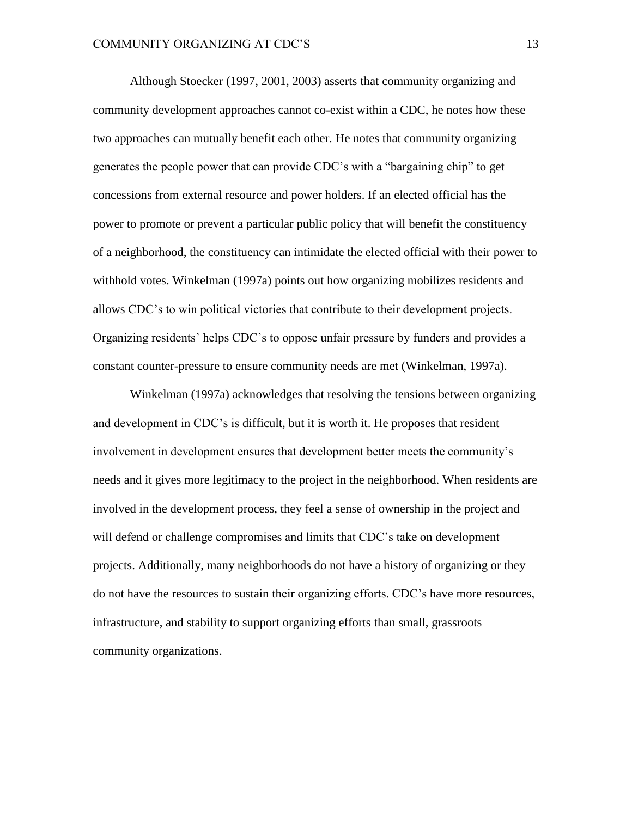Although Stoecker (1997, 2001, 2003) asserts that community organizing and community development approaches cannot co-exist within a CDC, he notes how these two approaches can mutually benefit each other. He notes that community organizing generates the people power that can provide CDC's with a "bargaining chip" to get concessions from external resource and power holders. If an elected official has the power to promote or prevent a particular public policy that will benefit the constituency of a neighborhood, the constituency can intimidate the elected official with their power to withhold votes. Winkelman (1997a) points out how organizing mobilizes residents and allows CDC's to win political victories that contribute to their development projects. Organizing residents' helps CDC's to oppose unfair pressure by funders and provides a constant counter-pressure to ensure community needs are met (Winkelman, 1997a).

Winkelman (1997a) acknowledges that resolving the tensions between organizing and development in CDC's is difficult, but it is worth it. He proposes that resident involvement in development ensures that development better meets the community's needs and it gives more legitimacy to the project in the neighborhood. When residents are involved in the development process, they feel a sense of ownership in the project and will defend or challenge compromises and limits that CDC's take on development projects. Additionally, many neighborhoods do not have a history of organizing or they do not have the resources to sustain their organizing efforts. CDC's have more resources, infrastructure, and stability to support organizing efforts than small, grassroots community organizations.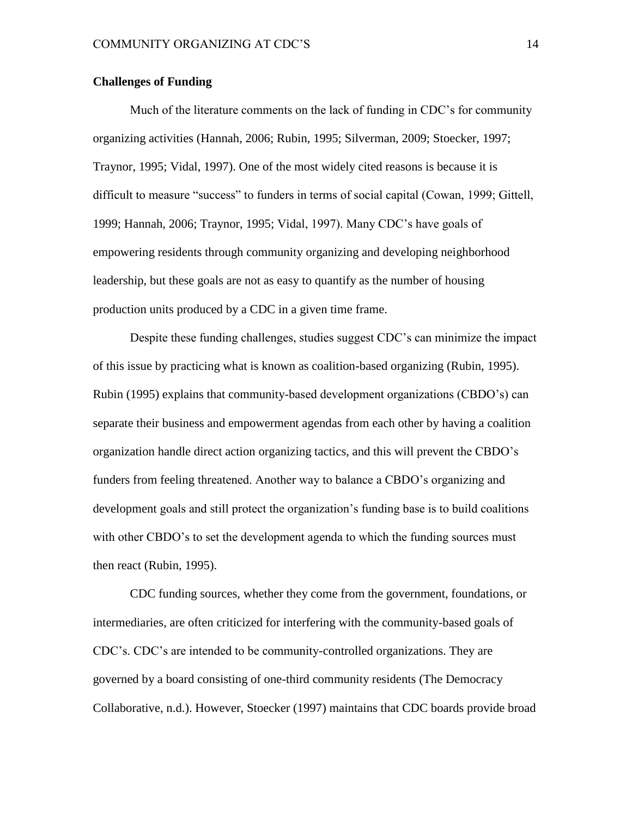#### **Challenges of Funding**

Much of the literature comments on the lack of funding in CDC's for community organizing activities (Hannah, 2006; Rubin, 1995; Silverman, 2009; Stoecker, 1997; Traynor, 1995; Vidal, 1997). One of the most widely cited reasons is because it is difficult to measure "success" to funders in terms of social capital (Cowan, 1999; Gittell, 1999; Hannah, 2006; Traynor, 1995; Vidal, 1997). Many CDC's have goals of empowering residents through community organizing and developing neighborhood leadership, but these goals are not as easy to quantify as the number of housing production units produced by a CDC in a given time frame.

Despite these funding challenges, studies suggest CDC's can minimize the impact of this issue by practicing what is known as coalition-based organizing (Rubin, 1995). Rubin (1995) explains that community-based development organizations (CBDO's) can separate their business and empowerment agendas from each other by having a coalition organization handle direct action organizing tactics, and this will prevent the CBDO's funders from feeling threatened. Another way to balance a CBDO's organizing and development goals and still protect the organization's funding base is to build coalitions with other CBDO's to set the development agenda to which the funding sources must then react (Rubin, 1995).

CDC funding sources, whether they come from the government, foundations, or intermediaries, are often criticized for interfering with the community-based goals of CDC's. CDC's are intended to be community-controlled organizations. They are governed by a board consisting of one-third community residents (The Democracy Collaborative, n.d.). However, Stoecker (1997) maintains that CDC boards provide broad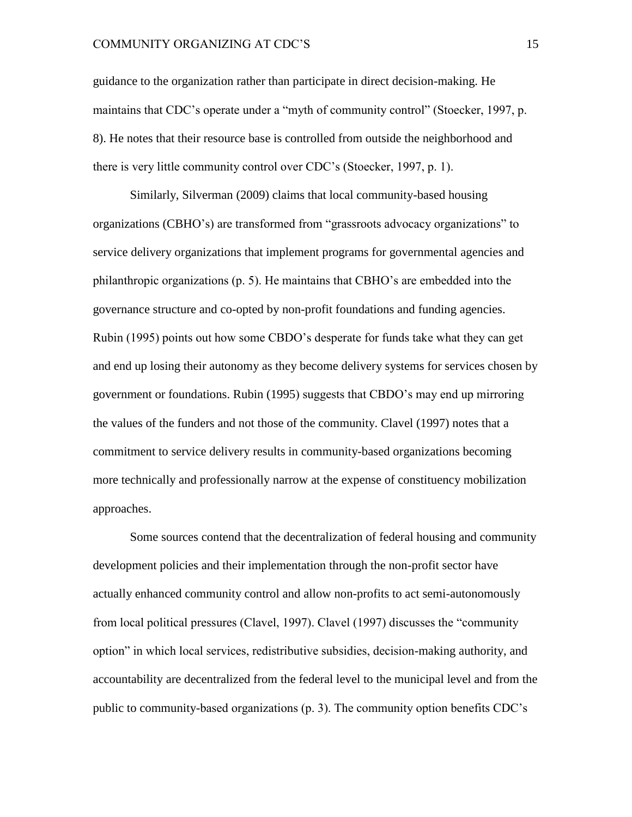guidance to the organization rather than participate in direct decision-making. He maintains that CDC's operate under a "myth of community control" (Stoecker, 1997, p. 8). He notes that their resource base is controlled from outside the neighborhood and there is very little community control over CDC's (Stoecker, 1997, p. 1).

Similarly, Silverman (2009) claims that local community-based housing organizations (CBHO's) are transformed from "grassroots advocacy organizations" to service delivery organizations that implement programs for governmental agencies and philanthropic organizations (p. 5). He maintains that CBHO's are embedded into the governance structure and co-opted by non-profit foundations and funding agencies. Rubin (1995) points out how some CBDO's desperate for funds take what they can get and end up losing their autonomy as they become delivery systems for services chosen by government or foundations. Rubin (1995) suggests that CBDO's may end up mirroring the values of the funders and not those of the community. Clavel (1997) notes that a commitment to service delivery results in community-based organizations becoming more technically and professionally narrow at the expense of constituency mobilization approaches.

Some sources contend that the decentralization of federal housing and community development policies and their implementation through the non-profit sector have actually enhanced community control and allow non-profits to act semi-autonomously from local political pressures (Clavel, 1997). Clavel (1997) discusses the "community option" in which local services, redistributive subsidies, decision-making authority, and accountability are decentralized from the federal level to the municipal level and from the public to community-based organizations (p. 3). The community option benefits CDC's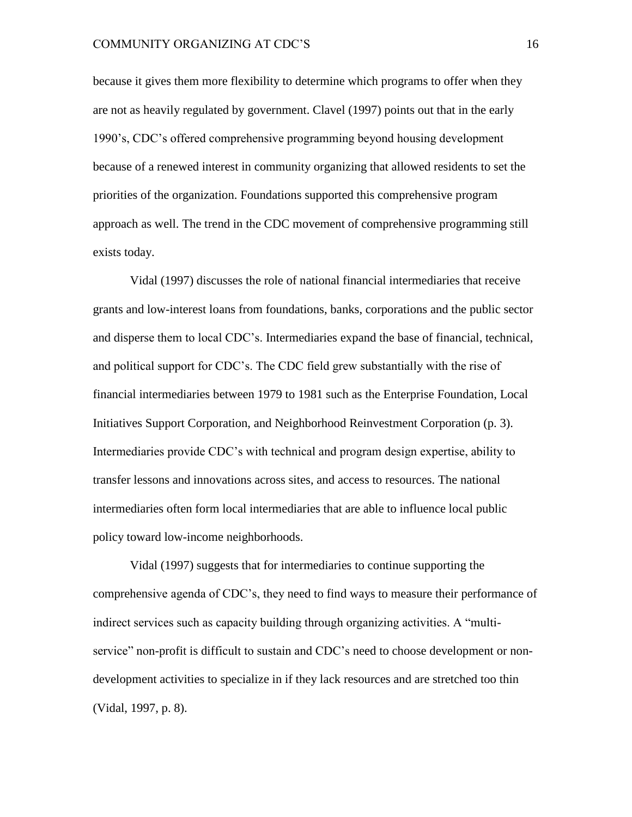because it gives them more flexibility to determine which programs to offer when they are not as heavily regulated by government. Clavel (1997) points out that in the early 1990's, CDC's offered comprehensive programming beyond housing development because of a renewed interest in community organizing that allowed residents to set the priorities of the organization. Foundations supported this comprehensive program approach as well. The trend in the CDC movement of comprehensive programming still exists today.

Vidal (1997) discusses the role of national financial intermediaries that receive grants and low-interest loans from foundations, banks, corporations and the public sector and disperse them to local CDC's. Intermediaries expand the base of financial, technical, and political support for CDC's. The CDC field grew substantially with the rise of financial intermediaries between 1979 to 1981 such as the Enterprise Foundation, Local Initiatives Support Corporation, and Neighborhood Reinvestment Corporation (p. 3). Intermediaries provide CDC's with technical and program design expertise, ability to transfer lessons and innovations across sites, and access to resources. The national intermediaries often form local intermediaries that are able to influence local public policy toward low-income neighborhoods.

Vidal (1997) suggests that for intermediaries to continue supporting the comprehensive agenda of CDC's, they need to find ways to measure their performance of indirect services such as capacity building through organizing activities. A "multiservice" non-profit is difficult to sustain and CDC's need to choose development or nondevelopment activities to specialize in if they lack resources and are stretched too thin (Vidal, 1997, p. 8).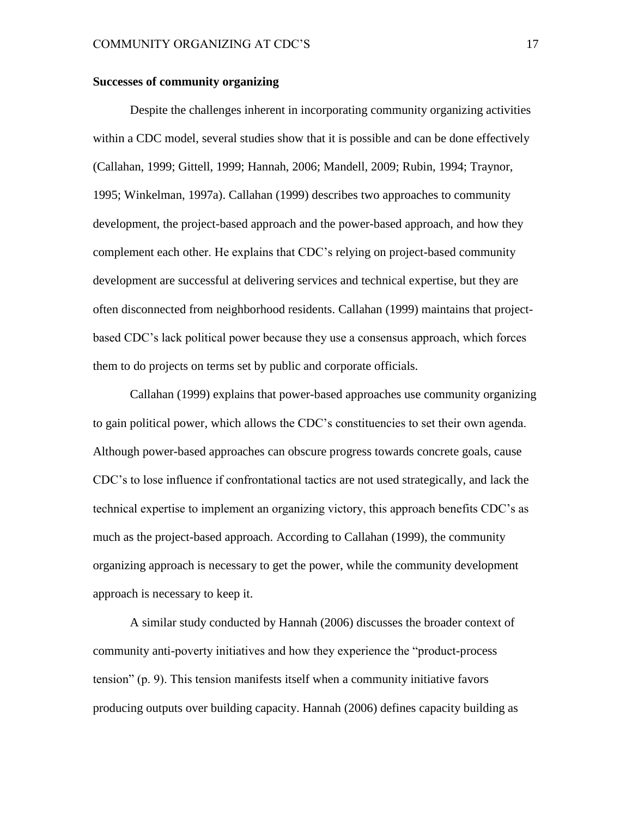#### **Successes of community organizing**

Despite the challenges inherent in incorporating community organizing activities within a CDC model, several studies show that it is possible and can be done effectively (Callahan, 1999; Gittell, 1999; Hannah, 2006; Mandell, 2009; Rubin, 1994; Traynor, 1995; Winkelman, 1997a). Callahan (1999) describes two approaches to community development, the project-based approach and the power-based approach, and how they complement each other. He explains that CDC's relying on project-based community development are successful at delivering services and technical expertise, but they are often disconnected from neighborhood residents. Callahan (1999) maintains that projectbased CDC's lack political power because they use a consensus approach, which forces them to do projects on terms set by public and corporate officials.

Callahan (1999) explains that power-based approaches use community organizing to gain political power, which allows the CDC's constituencies to set their own agenda. Although power-based approaches can obscure progress towards concrete goals, cause CDC's to lose influence if confrontational tactics are not used strategically, and lack the technical expertise to implement an organizing victory, this approach benefits CDC's as much as the project-based approach. According to Callahan (1999), the community organizing approach is necessary to get the power, while the community development approach is necessary to keep it.

A similar study conducted by Hannah (2006) discusses the broader context of community anti-poverty initiatives and how they experience the "product-process tension" (p. 9). This tension manifests itself when a community initiative favors producing outputs over building capacity. Hannah (2006) defines capacity building as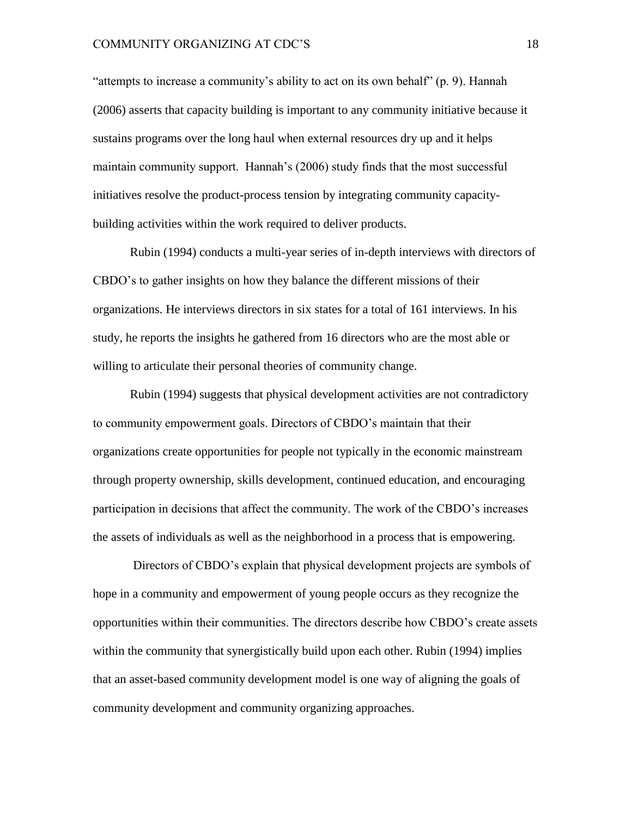"attempts to increase a community's ability to act on its own behalf" (p. 9). Hannah (2006) asserts that capacity building is important to any community initiative because it sustains programs over the long haul when external resources dry up and it helps maintain community support. Hannah's (2006) study finds that the most successful initiatives resolve the product-process tension by integrating community capacitybuilding activities within the work required to deliver products.

Rubin (1994) conducts a multi-year series of in-depth interviews with directors of CBDO's to gather insights on how they balance the different missions of their organizations. He interviews directors in six states for a total of 161 interviews. In his study, he reports the insights he gathered from 16 directors who are the most able or willing to articulate their personal theories of community change.

Rubin (1994) suggests that physical development activities are not contradictory to community empowerment goals. Directors of CBDO's maintain that their organizations create opportunities for people not typically in the economic mainstream through property ownership, skills development, continued education, and encouraging participation in decisions that affect the community. The work of the CBDO's increases the assets of individuals as well as the neighborhood in a process that is empowering.

Directors of CBDO's explain that physical development projects are symbols of hope in a community and empowerment of young people occurs as they recognize the opportunities within their communities. The directors describe how CBDO's create assets within the community that synergistically build upon each other. Rubin (1994) implies that an asset-based community development model is one way of aligning the goals of community development and community organizing approaches.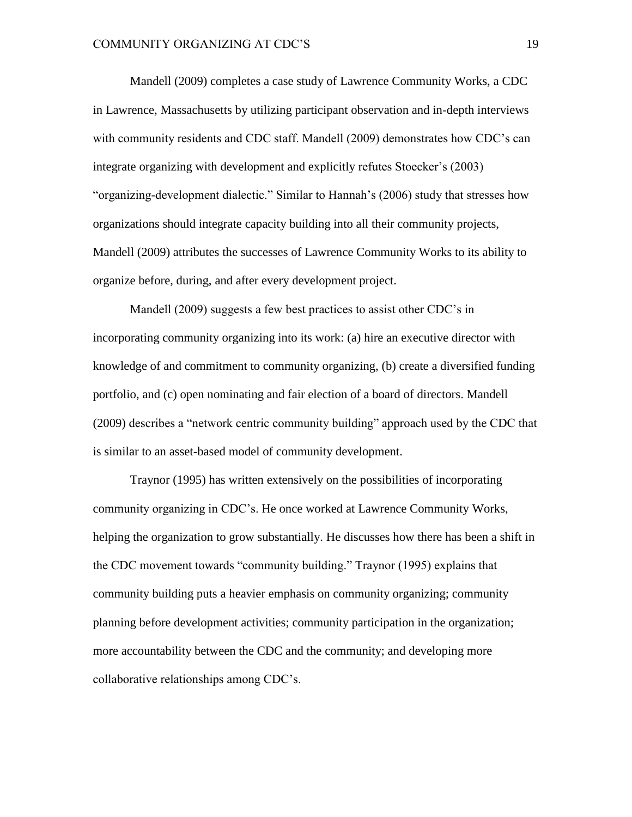Mandell (2009) completes a case study of Lawrence Community Works, a CDC in Lawrence, Massachusetts by utilizing participant observation and in-depth interviews with community residents and CDC staff. Mandell (2009) demonstrates how CDC's can integrate organizing with development and explicitly refutes Stoecker's (2003) "organizing-development dialectic." Similar to Hannah's (2006) study that stresses how organizations should integrate capacity building into all their community projects, Mandell (2009) attributes the successes of Lawrence Community Works to its ability to organize before, during, and after every development project.

Mandell (2009) suggests a few best practices to assist other CDC's in incorporating community organizing into its work: (a) hire an executive director with knowledge of and commitment to community organizing, (b) create a diversified funding portfolio, and (c) open nominating and fair election of a board of directors. Mandell (2009) describes a "network centric community building" approach used by the CDC that is similar to an asset-based model of community development.

Traynor (1995) has written extensively on the possibilities of incorporating community organizing in CDC's. He once worked at Lawrence Community Works, helping the organization to grow substantially. He discusses how there has been a shift in the CDC movement towards "community building." Traynor (1995) explains that community building puts a heavier emphasis on community organizing; community planning before development activities; community participation in the organization; more accountability between the CDC and the community; and developing more collaborative relationships among CDC's.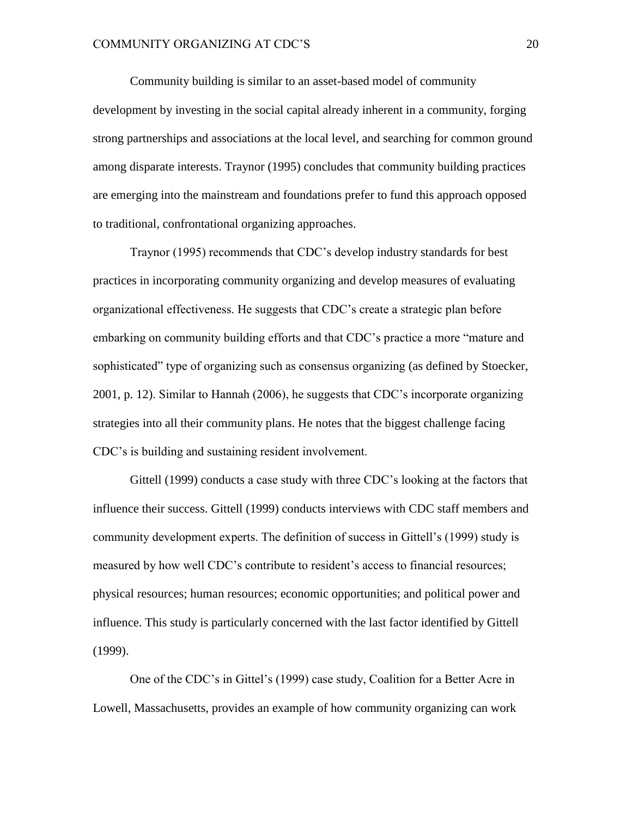Community building is similar to an asset-based model of community development by investing in the social capital already inherent in a community, forging strong partnerships and associations at the local level, and searching for common ground among disparate interests. Traynor (1995) concludes that community building practices are emerging into the mainstream and foundations prefer to fund this approach opposed to traditional, confrontational organizing approaches.

Traynor (1995) recommends that CDC's develop industry standards for best practices in incorporating community organizing and develop measures of evaluating organizational effectiveness. He suggests that CDC's create a strategic plan before embarking on community building efforts and that CDC's practice a more "mature and sophisticated" type of organizing such as consensus organizing (as defined by Stoecker, 2001, p. 12). Similar to Hannah (2006), he suggests that CDC's incorporate organizing strategies into all their community plans. He notes that the biggest challenge facing CDC's is building and sustaining resident involvement.

Gittell (1999) conducts a case study with three CDC's looking at the factors that influence their success. Gittell (1999) conducts interviews with CDC staff members and community development experts. The definition of success in Gittell's (1999) study is measured by how well CDC's contribute to resident's access to financial resources; physical resources; human resources; economic opportunities; and political power and influence. This study is particularly concerned with the last factor identified by Gittell (1999).

One of the CDC's in Gittel's (1999) case study, Coalition for a Better Acre in Lowell, Massachusetts, provides an example of how community organizing can work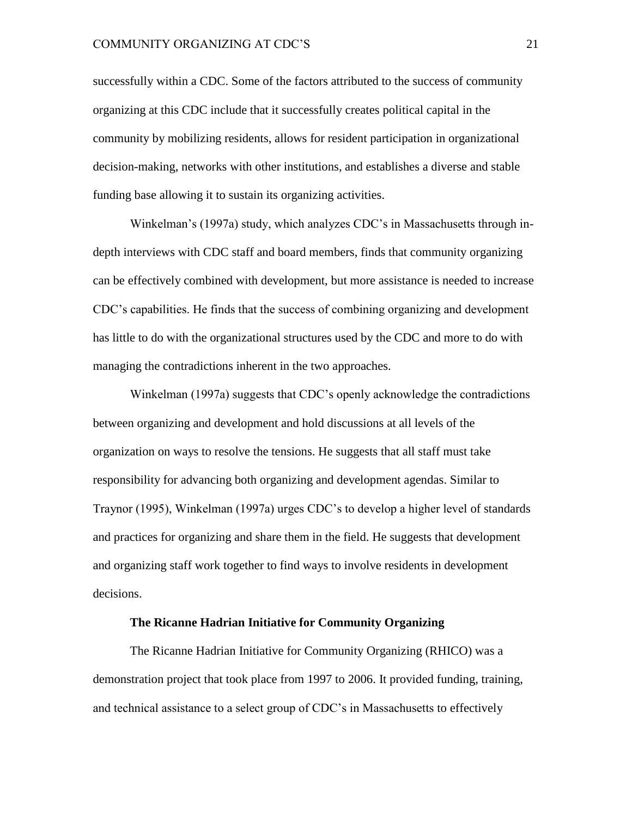successfully within a CDC. Some of the factors attributed to the success of community organizing at this CDC include that it successfully creates political capital in the community by mobilizing residents, allows for resident participation in organizational decision-making, networks with other institutions, and establishes a diverse and stable funding base allowing it to sustain its organizing activities.

Winkelman's (1997a) study, which analyzes CDC's in Massachusetts through indepth interviews with CDC staff and board members, finds that community organizing can be effectively combined with development, but more assistance is needed to increase CDC's capabilities. He finds that the success of combining organizing and development has little to do with the organizational structures used by the CDC and more to do with managing the contradictions inherent in the two approaches.

Winkelman (1997a) suggests that CDC's openly acknowledge the contradictions between organizing and development and hold discussions at all levels of the organization on ways to resolve the tensions. He suggests that all staff must take responsibility for advancing both organizing and development agendas. Similar to Traynor (1995), Winkelman (1997a) urges CDC's to develop a higher level of standards and practices for organizing and share them in the field. He suggests that development and organizing staff work together to find ways to involve residents in development decisions.

#### **The Ricanne Hadrian Initiative for Community Organizing**

The Ricanne Hadrian Initiative for Community Organizing (RHICO) was a demonstration project that took place from 1997 to 2006. It provided funding, training, and technical assistance to a select group of CDC's in Massachusetts to effectively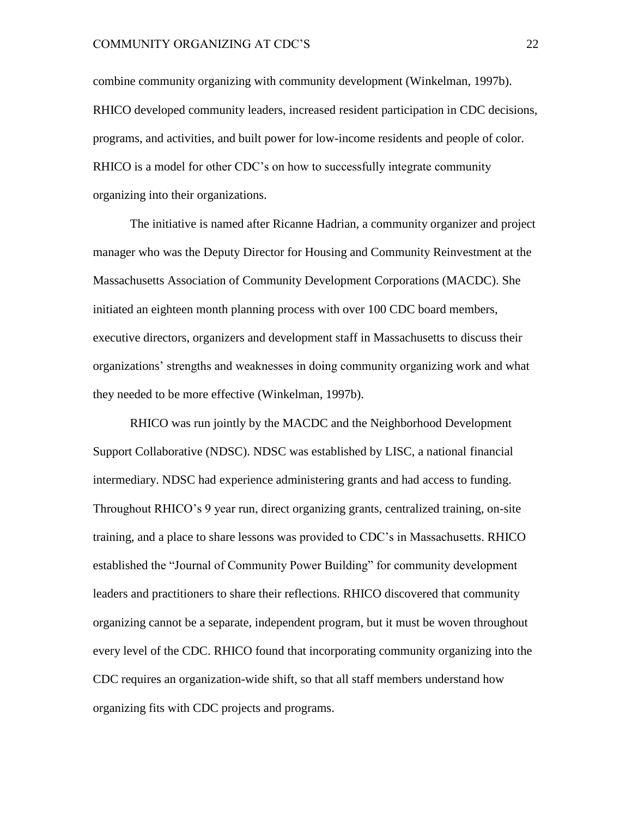combine community organizing with community development (Winkelman, 1997b). RHICO developed community leaders, increased resident participation in CDC decisions, programs, and activities, and built power for low-income residents and people of color. RHICO is a model for other CDC's on how to successfully integrate community organizing into their organizations.

The initiative is named after Ricanne Hadrian, a community organizer and project manager who was the Deputy Director for Housing and Community Reinvestment at the Massachusetts Association of Community Development Corporations (MACDC). She initiated an eighteen month planning process with over 100 CDC board members, executive directors, organizers and development staff in Massachusetts to discuss their organizations' strengths and weaknesses in doing community organizing work and what they needed to be more effective (Winkelman, 1997b).

RHICO was run jointly by the MACDC and the Neighborhood Development Support Collaborative (NDSC). NDSC was established by LISC, a national financial intermediary. NDSC had experience administering grants and had access to funding. Throughout RHICO's 9 year run, direct organizing grants, centralized training, on-site training, and a place to share lessons was provided to CDC's in Massachusetts. RHICO established the "Journal of Community Power Building" for community development leaders and practitioners to share their reflections. RHICO discovered that community organizing cannot be a separate, independent program, but it must be woven throughout every level of the CDC. RHICO found that incorporating community organizing into the CDC requires an organization-wide shift, so that all staff members understand how organizing fits with CDC projects and programs.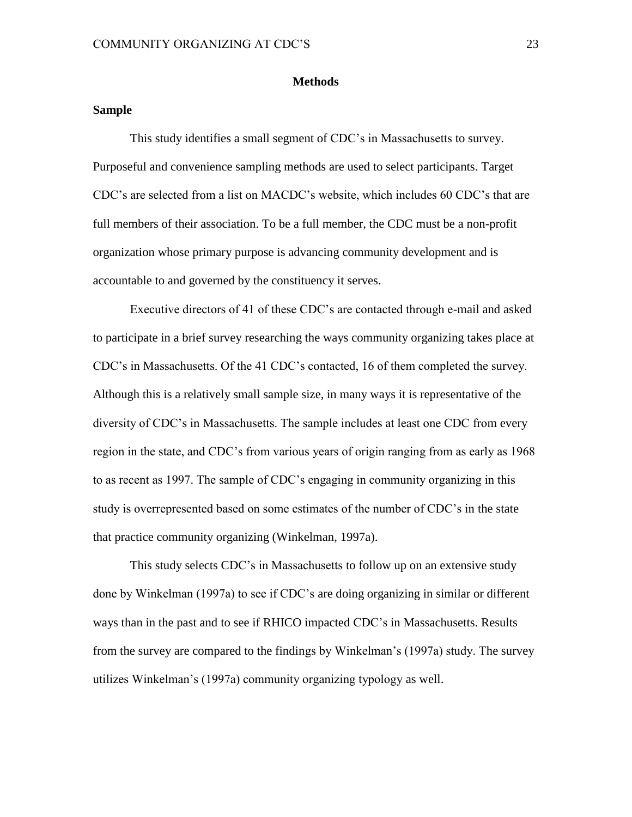#### **Methods**

#### **Sample**

This study identifies a small segment of CDC's in Massachusetts to survey. Purposeful and convenience sampling methods are used to select participants. Target CDC's are selected from a list on MACDC's website, which includes 60 CDC's that are full members of their association. To be a full member, the CDC must be a non-profit organization whose primary purpose is advancing community development and is accountable to and governed by the constituency it serves.

Executive directors of 41 of these CDC's are contacted through e-mail and asked to participate in a brief survey researching the ways community organizing takes place at CDC's in Massachusetts. Of the 41 CDC's contacted, 16 of them completed the survey. Although this is a relatively small sample size, in many ways it is representative of the diversity of CDC's in Massachusetts. The sample includes at least one CDC from every region in the state, and CDC's from various years of origin ranging from as early as 1968 to as recent as 1997. The sample of CDC's engaging in community organizing in this study is overrepresented based on some estimates of the number of CDC's in the state that practice community organizing (Winkelman, 1997a).

This study selects CDC's in Massachusetts to follow up on an extensive study done by Winkelman (1997a) to see if CDC's are doing organizing in similar or different ways than in the past and to see if RHICO impacted CDC's in Massachusetts. Results from the survey are compared to the findings by Winkelman's (1997a) study. The survey utilizes Winkelman's (1997a) community organizing typology as well.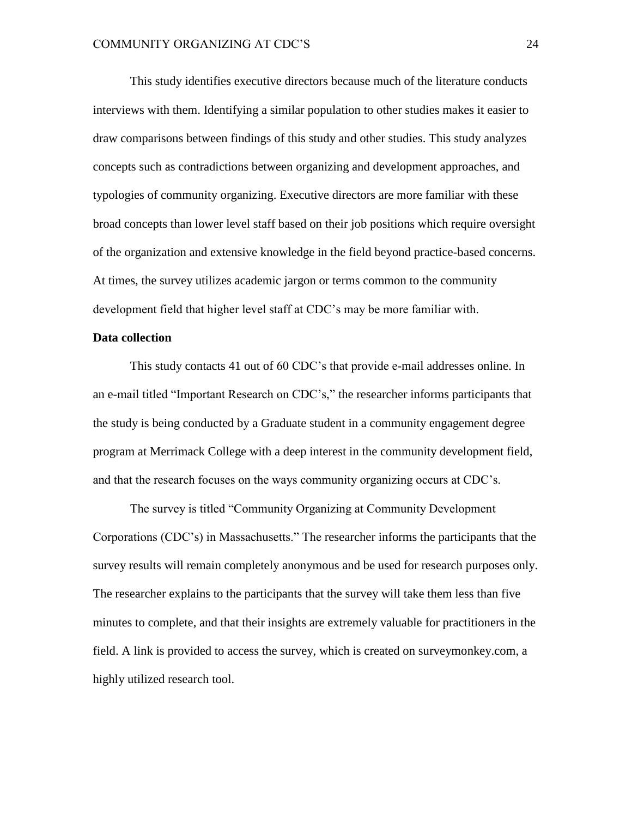This study identifies executive directors because much of the literature conducts interviews with them. Identifying a similar population to other studies makes it easier to draw comparisons between findings of this study and other studies. This study analyzes concepts such as contradictions between organizing and development approaches, and typologies of community organizing. Executive directors are more familiar with these broad concepts than lower level staff based on their job positions which require oversight of the organization and extensive knowledge in the field beyond practice-based concerns. At times, the survey utilizes academic jargon or terms common to the community development field that higher level staff at CDC's may be more familiar with.

#### **Data collection**

This study contacts 41 out of 60 CDC's that provide e-mail addresses online. In an e-mail titled "Important Research on CDC's," the researcher informs participants that the study is being conducted by a Graduate student in a community engagement degree program at Merrimack College with a deep interest in the community development field, and that the research focuses on the ways community organizing occurs at CDC's.

The survey is titled "Community Organizing at Community Development Corporations (CDC's) in Massachusetts." The researcher informs the participants that the survey results will remain completely anonymous and be used for research purposes only. The researcher explains to the participants that the survey will take them less than five minutes to complete, and that their insights are extremely valuable for practitioners in the field. A link is provided to access the survey, which is created on surveymonkey.com, a highly utilized research tool.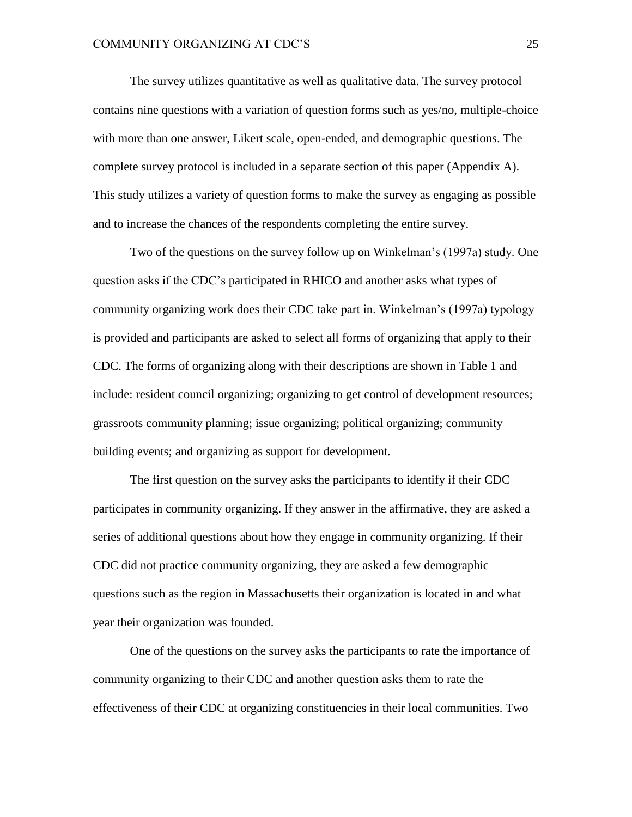The survey utilizes quantitative as well as qualitative data. The survey protocol contains nine questions with a variation of question forms such as yes/no, multiple-choice with more than one answer, Likert scale, open-ended, and demographic questions. The complete survey protocol is included in a separate section of this paper (Appendix A). This study utilizes a variety of question forms to make the survey as engaging as possible and to increase the chances of the respondents completing the entire survey.

Two of the questions on the survey follow up on Winkelman's (1997a) study. One question asks if the CDC's participated in RHICO and another asks what types of community organizing work does their CDC take part in. Winkelman's (1997a) typology is provided and participants are asked to select all forms of organizing that apply to their CDC. The forms of organizing along with their descriptions are shown in Table 1 and include: resident council organizing; organizing to get control of development resources; grassroots community planning; issue organizing; political organizing; community building events; and organizing as support for development.

The first question on the survey asks the participants to identify if their CDC participates in community organizing. If they answer in the affirmative, they are asked a series of additional questions about how they engage in community organizing. If their CDC did not practice community organizing, they are asked a few demographic questions such as the region in Massachusetts their organization is located in and what year their organization was founded.

One of the questions on the survey asks the participants to rate the importance of community organizing to their CDC and another question asks them to rate the effectiveness of their CDC at organizing constituencies in their local communities. Two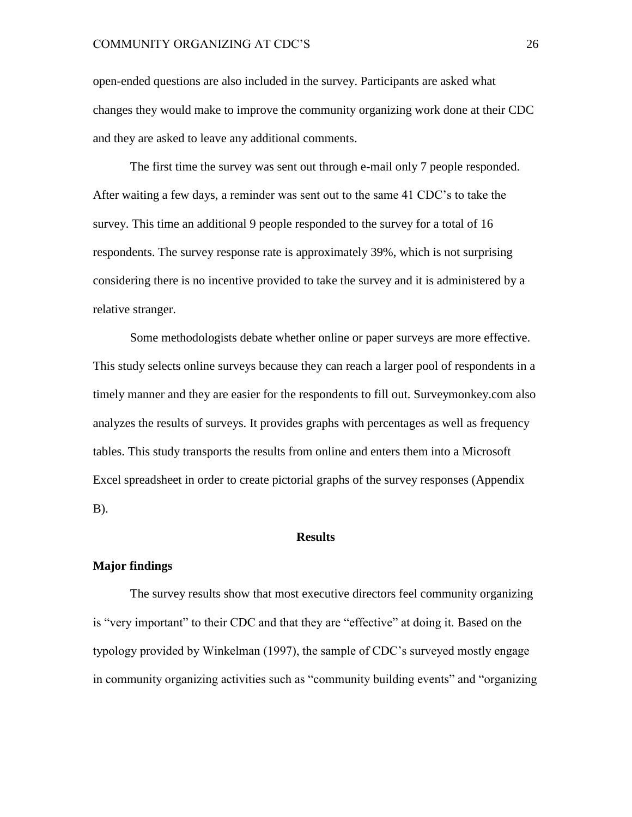open-ended questions are also included in the survey. Participants are asked what changes they would make to improve the community organizing work done at their CDC and they are asked to leave any additional comments.

The first time the survey was sent out through e-mail only 7 people responded. After waiting a few days, a reminder was sent out to the same 41 CDC's to take the survey. This time an additional 9 people responded to the survey for a total of 16 respondents. The survey response rate is approximately 39%, which is not surprising considering there is no incentive provided to take the survey and it is administered by a relative stranger.

Some methodologists debate whether online or paper surveys are more effective. This study selects online surveys because they can reach a larger pool of respondents in a timely manner and they are easier for the respondents to fill out. Surveymonkey.com also analyzes the results of surveys. It provides graphs with percentages as well as frequency tables. This study transports the results from online and enters them into a Microsoft Excel spreadsheet in order to create pictorial graphs of the survey responses (Appendix B).

#### **Results**

#### **Major findings**

The survey results show that most executive directors feel community organizing is "very important" to their CDC and that they are "effective" at doing it. Based on the typology provided by Winkelman (1997), the sample of CDC's surveyed mostly engage in community organizing activities such as "community building events" and "organizing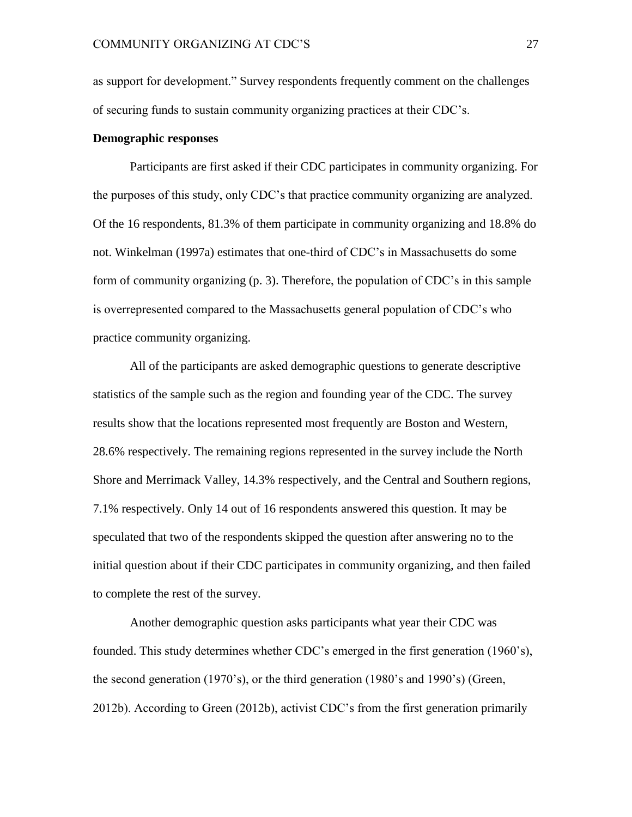as support for development." Survey respondents frequently comment on the challenges of securing funds to sustain community organizing practices at their CDC's.

#### **Demographic responses**

Participants are first asked if their CDC participates in community organizing. For the purposes of this study, only CDC's that practice community organizing are analyzed. Of the 16 respondents, 81.3% of them participate in community organizing and 18.8% do not. Winkelman (1997a) estimates that one-third of CDC's in Massachusetts do some form of community organizing (p. 3). Therefore, the population of CDC's in this sample is overrepresented compared to the Massachusetts general population of CDC's who practice community organizing.

All of the participants are asked demographic questions to generate descriptive statistics of the sample such as the region and founding year of the CDC. The survey results show that the locations represented most frequently are Boston and Western, 28.6% respectively. The remaining regions represented in the survey include the North Shore and Merrimack Valley, 14.3% respectively, and the Central and Southern regions, 7.1% respectively. Only 14 out of 16 respondents answered this question. It may be speculated that two of the respondents skipped the question after answering no to the initial question about if their CDC participates in community organizing, and then failed to complete the rest of the survey.

Another demographic question asks participants what year their CDC was founded. This study determines whether CDC's emerged in the first generation (1960's), the second generation (1970's), or the third generation (1980's and 1990's) (Green, 2012b). According to Green (2012b), activist CDC's from the first generation primarily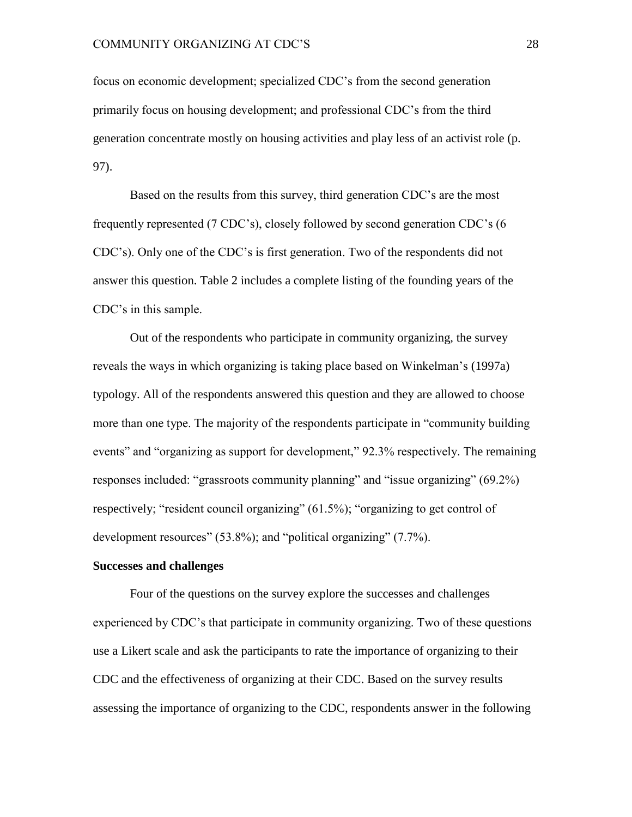focus on economic development; specialized CDC's from the second generation primarily focus on housing development; and professional CDC's from the third generation concentrate mostly on housing activities and play less of an activist role (p. 97).

Based on the results from this survey, third generation CDC's are the most frequently represented (7 CDC's), closely followed by second generation CDC's (6 CDC's). Only one of the CDC's is first generation. Two of the respondents did not answer this question. Table 2 includes a complete listing of the founding years of the CDC's in this sample.

Out of the respondents who participate in community organizing, the survey reveals the ways in which organizing is taking place based on Winkelman's (1997a) typology. All of the respondents answered this question and they are allowed to choose more than one type. The majority of the respondents participate in "community building events" and "organizing as support for development," 92.3% respectively. The remaining responses included: "grassroots community planning" and "issue organizing" (69.2%) respectively; "resident council organizing" (61.5%); "organizing to get control of development resources" (53.8%); and "political organizing" (7.7%).

#### **Successes and challenges**

Four of the questions on the survey explore the successes and challenges experienced by CDC's that participate in community organizing. Two of these questions use a Likert scale and ask the participants to rate the importance of organizing to their CDC and the effectiveness of organizing at their CDC. Based on the survey results assessing the importance of organizing to the CDC, respondents answer in the following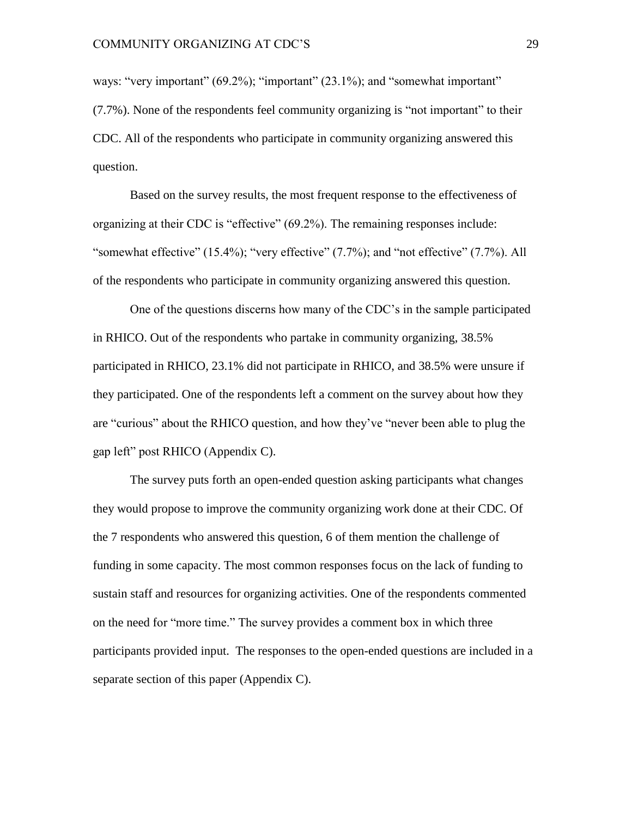ways: "very important" (69.2%); "important" (23.1%); and "somewhat important" (7.7%). None of the respondents feel community organizing is "not important" to their CDC. All of the respondents who participate in community organizing answered this question.

Based on the survey results, the most frequent response to the effectiveness of organizing at their CDC is "effective" (69.2%). The remaining responses include: "somewhat effective" (15.4%); "very effective" (7.7%); and "not effective" (7.7%). All of the respondents who participate in community organizing answered this question.

One of the questions discerns how many of the CDC's in the sample participated in RHICO. Out of the respondents who partake in community organizing, 38.5% participated in RHICO, 23.1% did not participate in RHICO, and 38.5% were unsure if they participated. One of the respondents left a comment on the survey about how they are "curious" about the RHICO question, and how they've "never been able to plug the gap left" post RHICO (Appendix C).

The survey puts forth an open-ended question asking participants what changes they would propose to improve the community organizing work done at their CDC. Of the 7 respondents who answered this question, 6 of them mention the challenge of funding in some capacity. The most common responses focus on the lack of funding to sustain staff and resources for organizing activities. One of the respondents commented on the need for "more time." The survey provides a comment box in which three participants provided input. The responses to the open-ended questions are included in a separate section of this paper (Appendix C).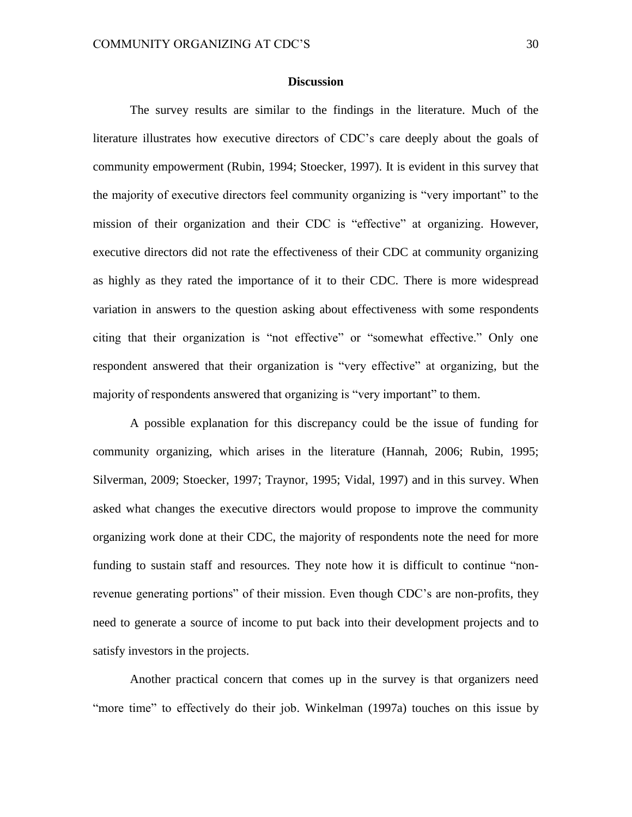#### **Discussion**

The survey results are similar to the findings in the literature. Much of the literature illustrates how executive directors of CDC's care deeply about the goals of community empowerment (Rubin, 1994; Stoecker, 1997). It is evident in this survey that the majority of executive directors feel community organizing is "very important" to the mission of their organization and their CDC is "effective" at organizing. However, executive directors did not rate the effectiveness of their CDC at community organizing as highly as they rated the importance of it to their CDC. There is more widespread variation in answers to the question asking about effectiveness with some respondents citing that their organization is "not effective" or "somewhat effective." Only one respondent answered that their organization is "very effective" at organizing, but the majority of respondents answered that organizing is "very important" to them.

A possible explanation for this discrepancy could be the issue of funding for community organizing, which arises in the literature (Hannah, 2006; Rubin, 1995; Silverman, 2009; Stoecker, 1997; Traynor, 1995; Vidal, 1997) and in this survey. When asked what changes the executive directors would propose to improve the community organizing work done at their CDC, the majority of respondents note the need for more funding to sustain staff and resources. They note how it is difficult to continue "nonrevenue generating portions" of their mission. Even though CDC's are non-profits, they need to generate a source of income to put back into their development projects and to satisfy investors in the projects.

Another practical concern that comes up in the survey is that organizers need "more time" to effectively do their job. Winkelman (1997a) touches on this issue by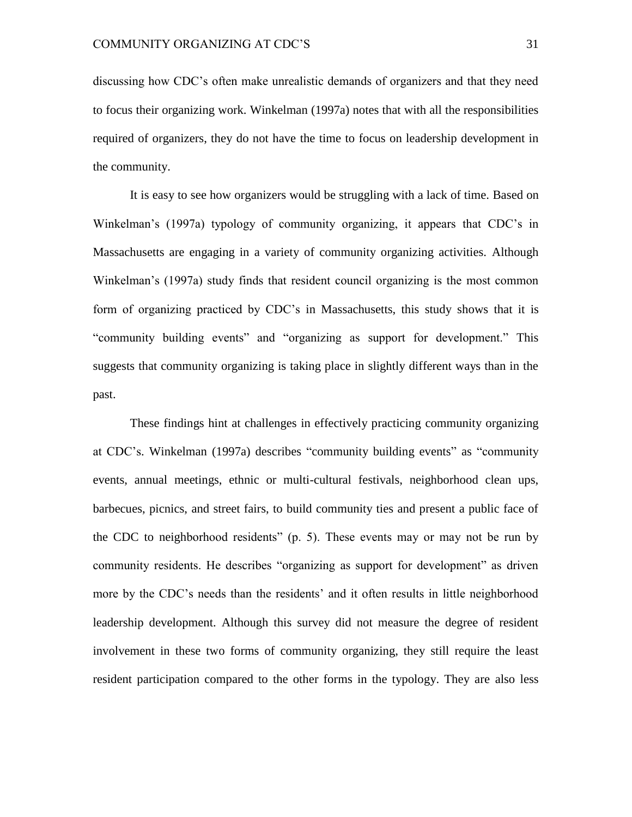discussing how CDC's often make unrealistic demands of organizers and that they need to focus their organizing work. Winkelman (1997a) notes that with all the responsibilities required of organizers, they do not have the time to focus on leadership development in the community.

It is easy to see how organizers would be struggling with a lack of time. Based on Winkelman's (1997a) typology of community organizing, it appears that CDC's in Massachusetts are engaging in a variety of community organizing activities. Although Winkelman's (1997a) study finds that resident council organizing is the most common form of organizing practiced by CDC's in Massachusetts, this study shows that it is "community building events" and "organizing as support for development." This suggests that community organizing is taking place in slightly different ways than in the past.

These findings hint at challenges in effectively practicing community organizing at CDC's. Winkelman (1997a) describes "community building events" as "community events, annual meetings, ethnic or multi-cultural festivals, neighborhood clean ups, barbecues, picnics, and street fairs, to build community ties and present a public face of the CDC to neighborhood residents" (p. 5). These events may or may not be run by community residents. He describes "organizing as support for development" as driven more by the CDC's needs than the residents' and it often results in little neighborhood leadership development. Although this survey did not measure the degree of resident involvement in these two forms of community organizing, they still require the least resident participation compared to the other forms in the typology. They are also less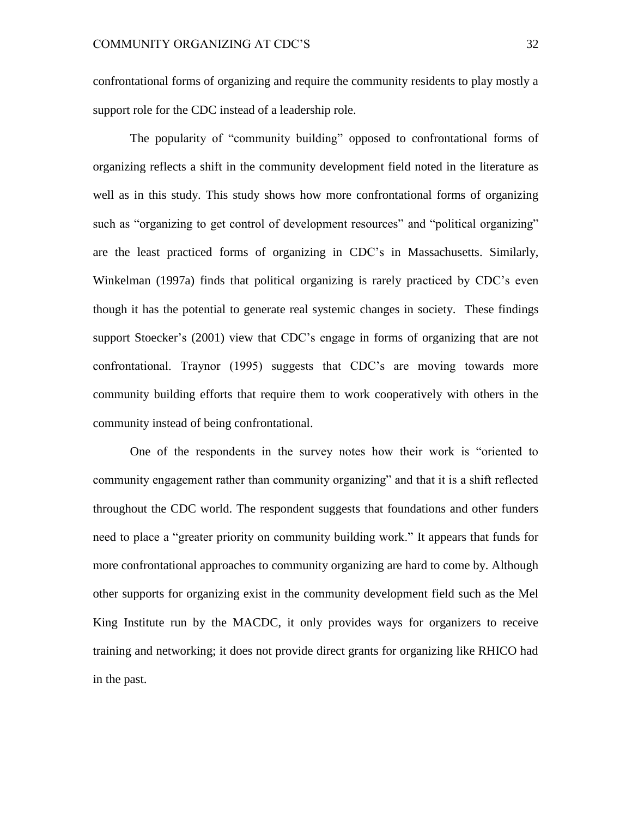confrontational forms of organizing and require the community residents to play mostly a support role for the CDC instead of a leadership role.

The popularity of "community building" opposed to confrontational forms of organizing reflects a shift in the community development field noted in the literature as well as in this study. This study shows how more confrontational forms of organizing such as "organizing to get control of development resources" and "political organizing" are the least practiced forms of organizing in CDC's in Massachusetts. Similarly, Winkelman (1997a) finds that political organizing is rarely practiced by CDC's even though it has the potential to generate real systemic changes in society. These findings support Stoecker's (2001) view that CDC's engage in forms of organizing that are not confrontational. Traynor (1995) suggests that CDC's are moving towards more community building efforts that require them to work cooperatively with others in the community instead of being confrontational.

One of the respondents in the survey notes how their work is "oriented to community engagement rather than community organizing" and that it is a shift reflected throughout the CDC world. The respondent suggests that foundations and other funders need to place a "greater priority on community building work." It appears that funds for more confrontational approaches to community organizing are hard to come by. Although other supports for organizing exist in the community development field such as the Mel King Institute run by the MACDC, it only provides ways for organizers to receive training and networking; it does not provide direct grants for organizing like RHICO had in the past.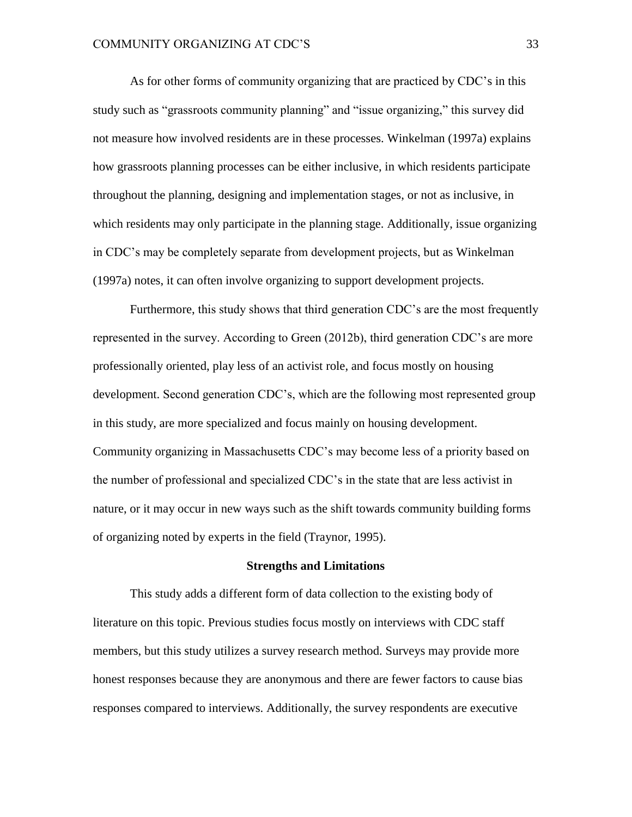As for other forms of community organizing that are practiced by CDC's in this study such as "grassroots community planning" and "issue organizing," this survey did not measure how involved residents are in these processes. Winkelman (1997a) explains how grassroots planning processes can be either inclusive, in which residents participate throughout the planning, designing and implementation stages, or not as inclusive, in which residents may only participate in the planning stage. Additionally, issue organizing in CDC's may be completely separate from development projects, but as Winkelman (1997a) notes, it can often involve organizing to support development projects.

Furthermore, this study shows that third generation CDC's are the most frequently represented in the survey. According to Green (2012b), third generation CDC's are more professionally oriented, play less of an activist role, and focus mostly on housing development. Second generation CDC's, which are the following most represented group in this study, are more specialized and focus mainly on housing development. Community organizing in Massachusetts CDC's may become less of a priority based on the number of professional and specialized CDC's in the state that are less activist in nature, or it may occur in new ways such as the shift towards community building forms of organizing noted by experts in the field (Traynor, 1995).

#### **Strengths and Limitations**

This study adds a different form of data collection to the existing body of literature on this topic. Previous studies focus mostly on interviews with CDC staff members, but this study utilizes a survey research method. Surveys may provide more honest responses because they are anonymous and there are fewer factors to cause bias responses compared to interviews. Additionally, the survey respondents are executive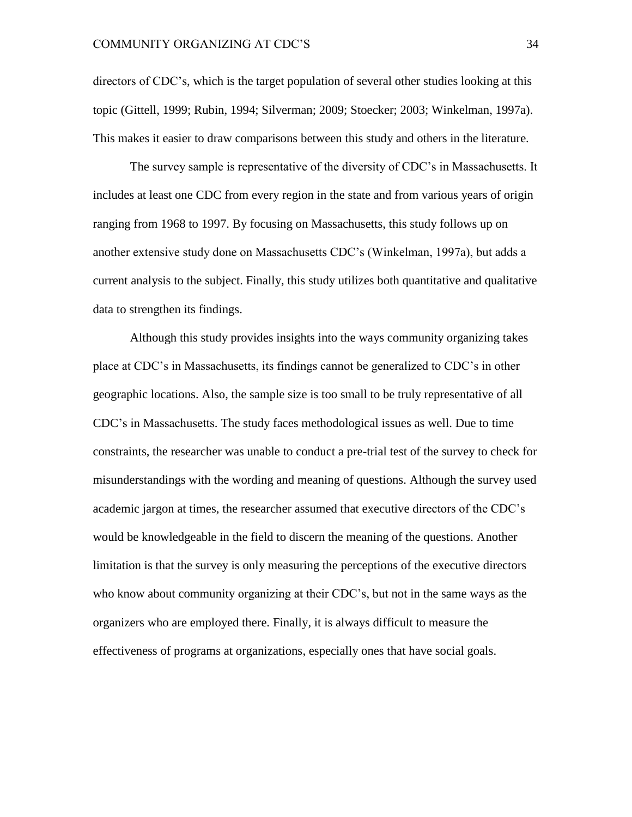directors of CDC's, which is the target population of several other studies looking at this topic (Gittell, 1999; Rubin, 1994; Silverman; 2009; Stoecker; 2003; Winkelman, 1997a). This makes it easier to draw comparisons between this study and others in the literature.

The survey sample is representative of the diversity of CDC's in Massachusetts. It includes at least one CDC from every region in the state and from various years of origin ranging from 1968 to 1997. By focusing on Massachusetts, this study follows up on another extensive study done on Massachusetts CDC's (Winkelman, 1997a), but adds a current analysis to the subject. Finally, this study utilizes both quantitative and qualitative data to strengthen its findings.

Although this study provides insights into the ways community organizing takes place at CDC's in Massachusetts, its findings cannot be generalized to CDC's in other geographic locations. Also, the sample size is too small to be truly representative of all CDC's in Massachusetts. The study faces methodological issues as well. Due to time constraints, the researcher was unable to conduct a pre-trial test of the survey to check for misunderstandings with the wording and meaning of questions. Although the survey used academic jargon at times, the researcher assumed that executive directors of the CDC's would be knowledgeable in the field to discern the meaning of the questions. Another limitation is that the survey is only measuring the perceptions of the executive directors who know about community organizing at their CDC's, but not in the same ways as the organizers who are employed there. Finally, it is always difficult to measure the effectiveness of programs at organizations, especially ones that have social goals.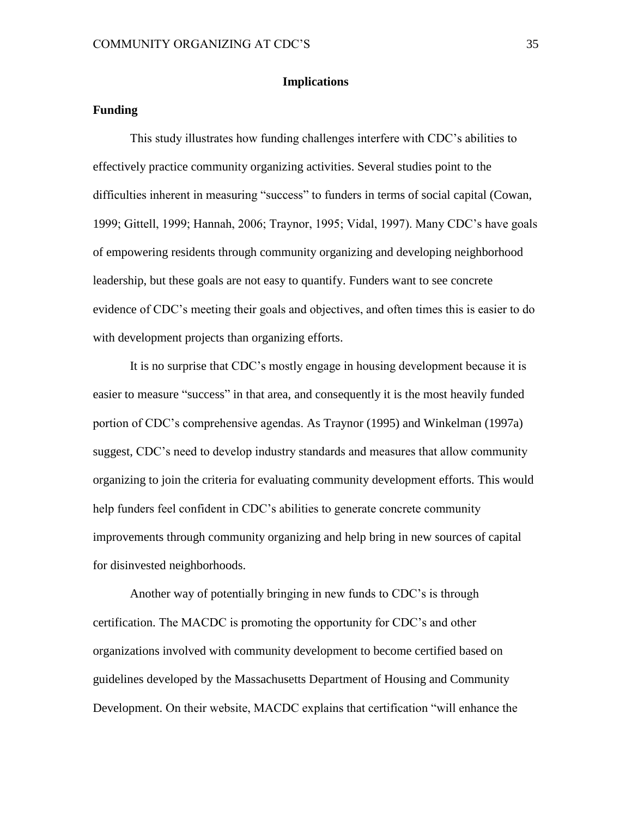#### **Implications**

#### **Funding**

This study illustrates how funding challenges interfere with CDC's abilities to effectively practice community organizing activities. Several studies point to the difficulties inherent in measuring "success" to funders in terms of social capital (Cowan, 1999; Gittell, 1999; Hannah, 2006; Traynor, 1995; Vidal, 1997). Many CDC's have goals of empowering residents through community organizing and developing neighborhood leadership, but these goals are not easy to quantify. Funders want to see concrete evidence of CDC's meeting their goals and objectives, and often times this is easier to do with development projects than organizing efforts.

It is no surprise that CDC's mostly engage in housing development because it is easier to measure "success" in that area, and consequently it is the most heavily funded portion of CDC's comprehensive agendas. As Traynor (1995) and Winkelman (1997a) suggest, CDC's need to develop industry standards and measures that allow community organizing to join the criteria for evaluating community development efforts. This would help funders feel confident in CDC's abilities to generate concrete community improvements through community organizing and help bring in new sources of capital for disinvested neighborhoods.

Another way of potentially bringing in new funds to CDC's is through certification. The MACDC is promoting the opportunity for CDC's and other organizations involved with community development to become certified based on guidelines developed by the Massachusetts Department of Housing and Community Development. On their website, MACDC explains that certification "will enhance the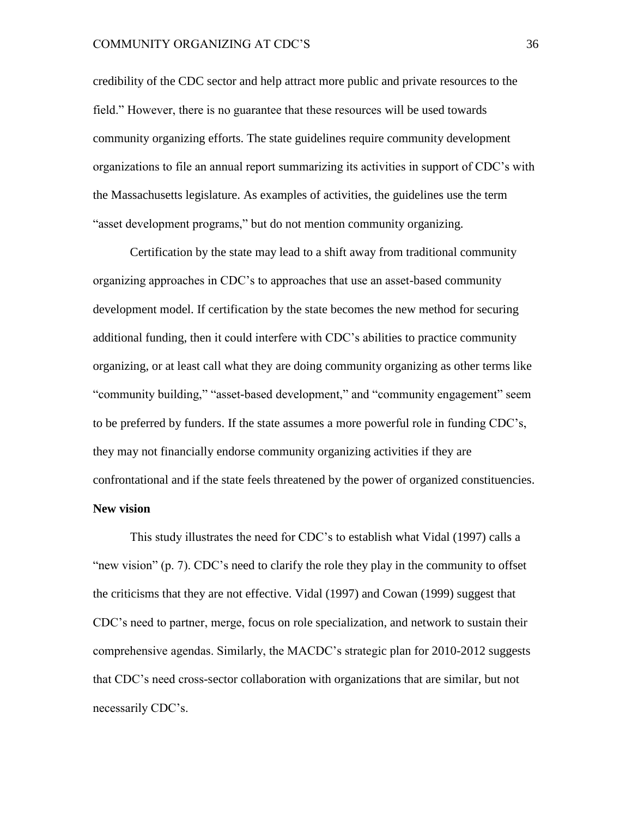credibility of the CDC sector and help attract more public and private resources to the field." However, there is no guarantee that these resources will be used towards community organizing efforts. The state guidelines require community development organizations to file an annual report summarizing its activities in support of CDC's with the Massachusetts legislature. As examples of activities, the guidelines use the term "asset development programs," but do not mention community organizing.

Certification by the state may lead to a shift away from traditional community organizing approaches in CDC's to approaches that use an asset-based community development model. If certification by the state becomes the new method for securing additional funding, then it could interfere with CDC's abilities to practice community organizing, or at least call what they are doing community organizing as other terms like "community building," "asset-based development," and "community engagement" seem to be preferred by funders. If the state assumes a more powerful role in funding CDC's, they may not financially endorse community organizing activities if they are confrontational and if the state feels threatened by the power of organized constituencies. **New vision**

This study illustrates the need for CDC's to establish what Vidal (1997) calls a "new vision" (p. 7). CDC's need to clarify the role they play in the community to offset the criticisms that they are not effective. Vidal (1997) and Cowan (1999) suggest that CDC's need to partner, merge, focus on role specialization, and network to sustain their comprehensive agendas. Similarly, the MACDC's strategic plan for 2010-2012 suggests that CDC's need cross-sector collaboration with organizations that are similar, but not necessarily CDC's.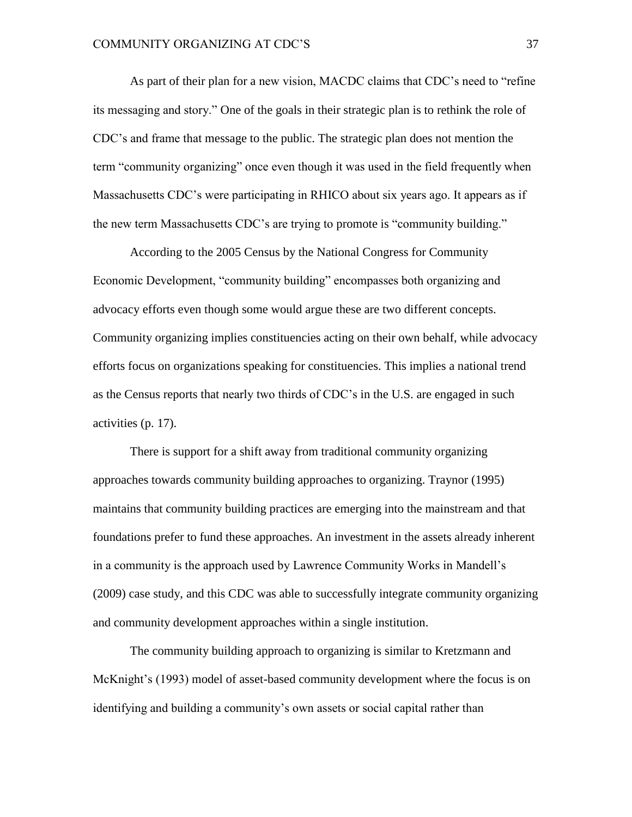As part of their plan for a new vision, MACDC claims that CDC's need to "refine its messaging and story." One of the goals in their strategic plan is to rethink the role of CDC's and frame that message to the public. The strategic plan does not mention the term "community organizing" once even though it was used in the field frequently when Massachusetts CDC's were participating in RHICO about six years ago. It appears as if the new term Massachusetts CDC's are trying to promote is "community building."

According to the 2005 Census by the National Congress for Community Economic Development, "community building" encompasses both organizing and advocacy efforts even though some would argue these are two different concepts. Community organizing implies constituencies acting on their own behalf, while advocacy efforts focus on organizations speaking for constituencies. This implies a national trend as the Census reports that nearly two thirds of CDC's in the U.S. are engaged in such activities (p. 17).

There is support for a shift away from traditional community organizing approaches towards community building approaches to organizing. Traynor (1995) maintains that community building practices are emerging into the mainstream and that foundations prefer to fund these approaches. An investment in the assets already inherent in a community is the approach used by Lawrence Community Works in Mandell's (2009) case study, and this CDC was able to successfully integrate community organizing and community development approaches within a single institution.

The community building approach to organizing is similar to Kretzmann and McKnight's (1993) model of asset-based community development where the focus is on identifying and building a community's own assets or social capital rather than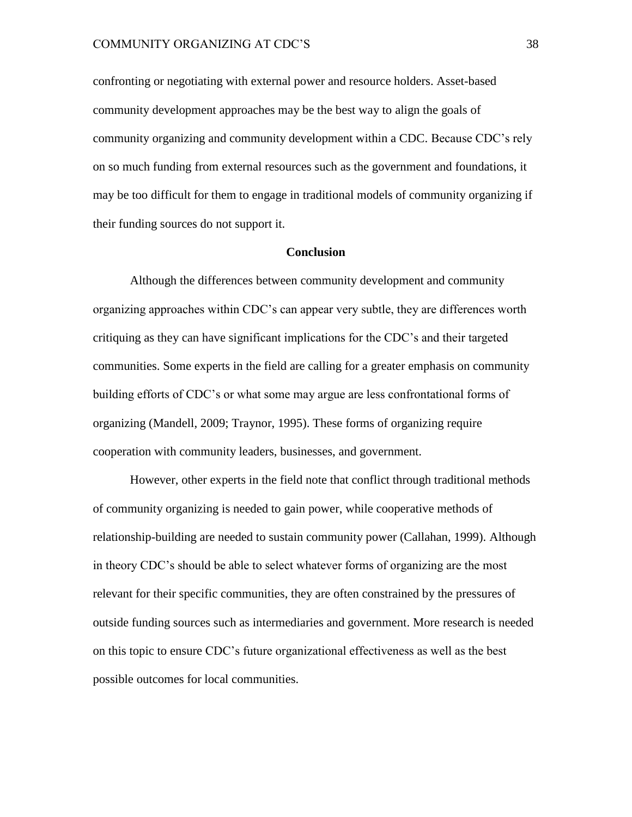confronting or negotiating with external power and resource holders. Asset-based community development approaches may be the best way to align the goals of community organizing and community development within a CDC. Because CDC's rely on so much funding from external resources such as the government and foundations, it may be too difficult for them to engage in traditional models of community organizing if their funding sources do not support it.

#### **Conclusion**

Although the differences between community development and community organizing approaches within CDC's can appear very subtle, they are differences worth critiquing as they can have significant implications for the CDC's and their targeted communities. Some experts in the field are calling for a greater emphasis on community building efforts of CDC's or what some may argue are less confrontational forms of organizing (Mandell, 2009; Traynor, 1995). These forms of organizing require cooperation with community leaders, businesses, and government.

However, other experts in the field note that conflict through traditional methods of community organizing is needed to gain power, while cooperative methods of relationship-building are needed to sustain community power (Callahan, 1999). Although in theory CDC's should be able to select whatever forms of organizing are the most relevant for their specific communities, they are often constrained by the pressures of outside funding sources such as intermediaries and government. More research is needed on this topic to ensure CDC's future organizational effectiveness as well as the best possible outcomes for local communities.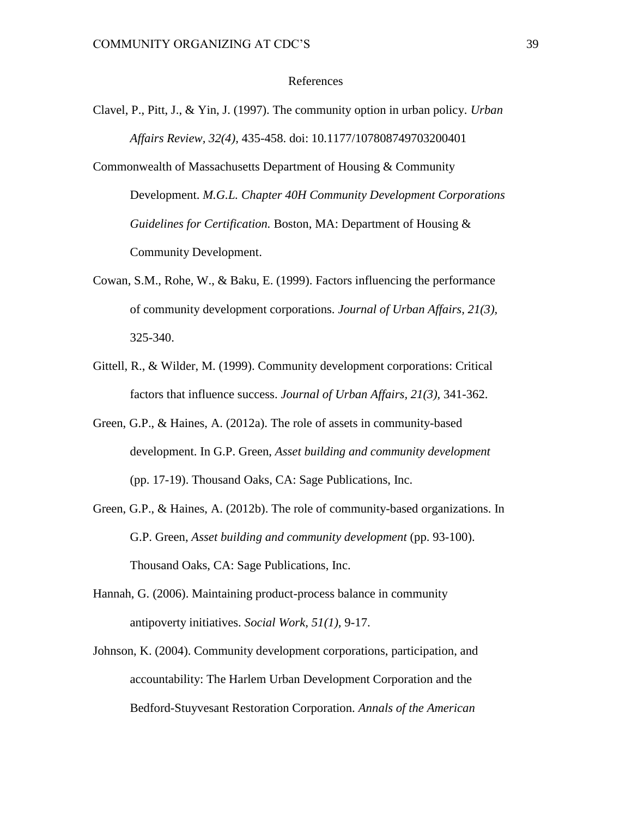#### References

- Clavel, P., Pitt, J., & Yin, J. (1997). The community option in urban policy. *Urban Affairs Review, 32(4),* 435-458. doi: 10.1177/107808749703200401
- Commonwealth of Massachusetts Department of Housing & Community Development. *M.G.L. Chapter 40H Community Development Corporations Guidelines for Certification.* Boston, MA: Department of Housing & Community Development.
- Cowan, S.M., Rohe, W., & Baku, E. (1999). Factors influencing the performance of community development corporations. *Journal of Urban Affairs, 21(3),*  325-340.
- Gittell, R., & Wilder, M. (1999). Community development corporations: Critical factors that influence success. *Journal of Urban Affairs, 21(3),* 341-362.
- Green, G.P., & Haines, A. (2012a). The role of assets in community-based development. In G.P. Green, *Asset building and community development*  (pp. 17-19). Thousand Oaks, CA: Sage Publications, Inc.
- Green, G.P., & Haines, A. (2012b). The role of community-based organizations. In G.P. Green, *Asset building and community development* (pp. 93-100). Thousand Oaks, CA: Sage Publications, Inc.
- Hannah, G. (2006). Maintaining product-process balance in community antipoverty initiatives. *Social Work, 51(1),* 9-17.
- Johnson, K. (2004). Community development corporations, participation, and accountability: The Harlem Urban Development Corporation and the Bedford-Stuyvesant Restoration Corporation. *Annals of the American*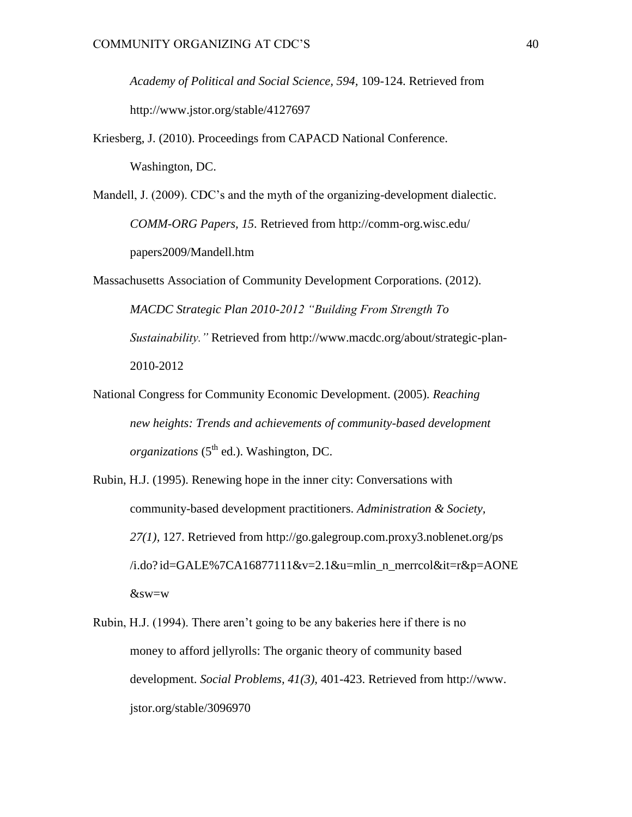*Academy of Political and Social Science, 594,* 109-124. Retrieved from <http://www.jstor.org/stable/4127697>

Kriesberg, J. (2010). Proceedings from CAPACD National Conference. Washington, DC.

Mandell, J. (2009). CDC's and the myth of the organizing-development dialectic. *COMM-ORG Papers, 15.* Retrieved from<http://comm-org.wisc.edu/> papers2009/Mandell.htm

- Massachusetts Association of Community Development Corporations. (2012). *MACDC Strategic Plan 2010-2012 "Building From Strength To Sustainability."* Retrieved from http://www.macdc.org/about/strategic-plan-2010-2012
- National Congress for Community Economic Development. (2005). *Reaching new heights: Trends and achievements of community-based development organizations* (5<sup>th</sup> ed.). Washington, DC.
- Rubin, H.J. (1995). Renewing hope in the inner city: Conversations with community-based development practitioners. *Administration & Society, 27(1),* 127. Retrieved from<http://go.galegroup.com.proxy3.noblenet.org/ps>  $/i.do? id=GALE\%7CA16877111&v=2.1&u=mlin_n_merrcol⁢=r&p=AONE$ &sw=w
- Rubin, H.J. (1994). There aren't going to be any bakeries here if there is no money to afford jellyrolls: The organic theory of community based development. *Social Problems, 41(3),* 401-423. Retrieved from [http://www.](http://www/) jstor.org/stable/3096970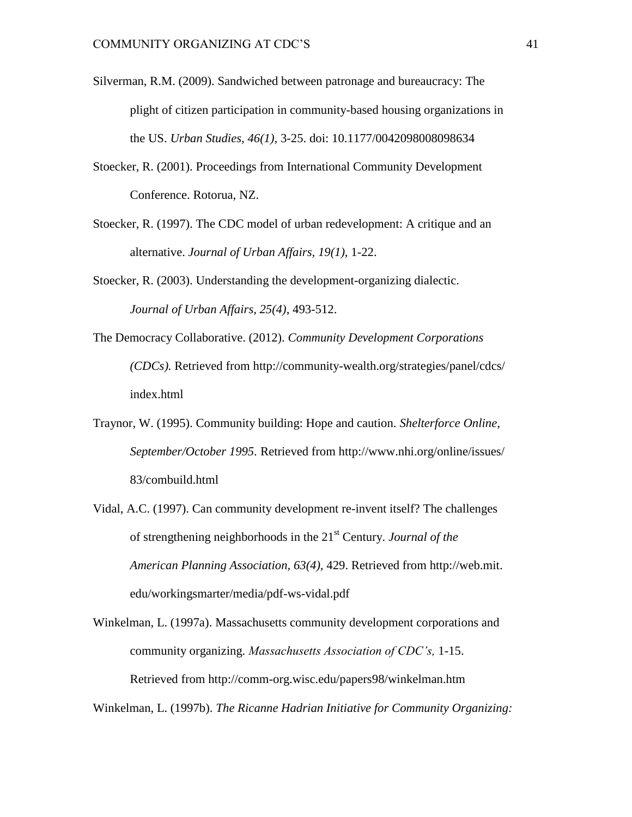- Silverman, R.M. (2009). Sandwiched between patronage and bureaucracy: The plight of citizen participation in community-based housing organizations in the US. *Urban Studies, 46(1),* 3-25. doi: 10.1177/0042098008098634
- Stoecker, R. (2001). Proceedings from International Community Development Conference. Rotorua, NZ.
- Stoecker, R. (1997). The CDC model of urban redevelopment: A critique and an alternative. *Journal of Urban Affairs, 19(1),* 1-22.
- Stoecker, R. (2003). Understanding the development-organizing dialectic. *Journal of Urban Affairs, 25(4)*, 493-512.
- The Democracy Collaborative. (2012). *Community Development Corporations (CDCs).* Retrieved from<http://community-wealth.org/strategies/panel/cdcs/> index.html
- Traynor, W. (1995). Community building: Hope and caution. *Shelterforce Online, September/October 1995.* Retrieved from<http://www.nhi.org/online/issues/> 83/combuild.html
- Vidal, A.C. (1997). Can community development re-invent itself? The challenges of strengthening neighborhoods in the 21st Century. *Journal of the American Planning Association, 63(4),* 429. Retrieved from [http://web.mit.](http://web.mit/) edu/workingsmarter/media/pdf-ws-vidal.pdf

Winkelman, L. (1997a). Massachusetts community development corporations and community organizing. *Massachusetts Association of CDC's,* 1-15. Retrieved from<http://comm-org.wisc.edu/papers98/winkelman.htm>

Winkelman, L. (1997b). *The Ricanne Hadrian Initiative for Community Organizing:*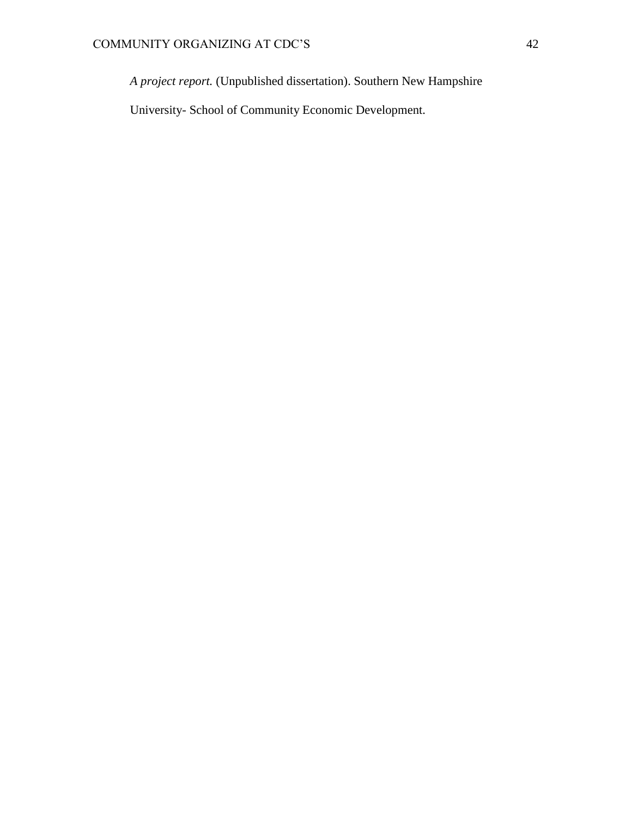*A project report.* (Unpublished dissertation). Southern New Hampshire

University- School of Community Economic Development.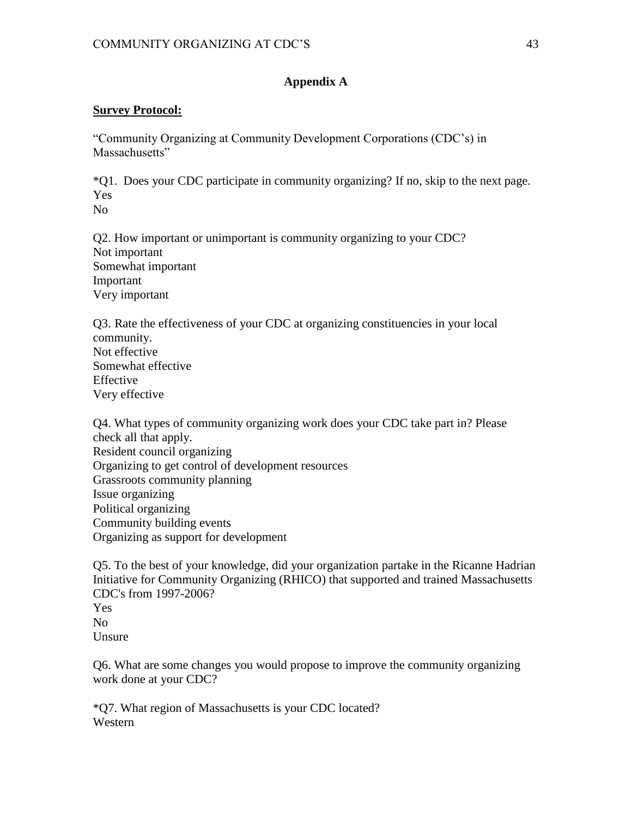## **Appendix A**

### **Survey Protocol:**

"Community Organizing at Community Development Corporations (CDC's) in Massachusetts"

\*Q1. Does your CDC participate in community organizing? If no, skip to the next page. Yes

No

Q2. How important or unimportant is community organizing to your CDC? Not important Somewhat important Important Very important

Q3. Rate the effectiveness of your CDC at organizing constituencies in your local community. Not effective Somewhat effective Effective Very effective

Q4. What types of community organizing work does your CDC take part in? Please check all that apply. Resident council organizing Organizing to get control of development resources Grassroots community planning Issue organizing Political organizing Community building events Organizing as support for development

Q5. To the best of your knowledge, did your organization partake in the Ricanne Hadrian Initiative for Community Organizing (RHICO) that supported and trained Massachusetts CDC's from 1997-2006? Yes No Unsure

Q6. What are some changes you would propose to improve the community organizing work done at your CDC?

\*Q7. What region of Massachusetts is your CDC located? Western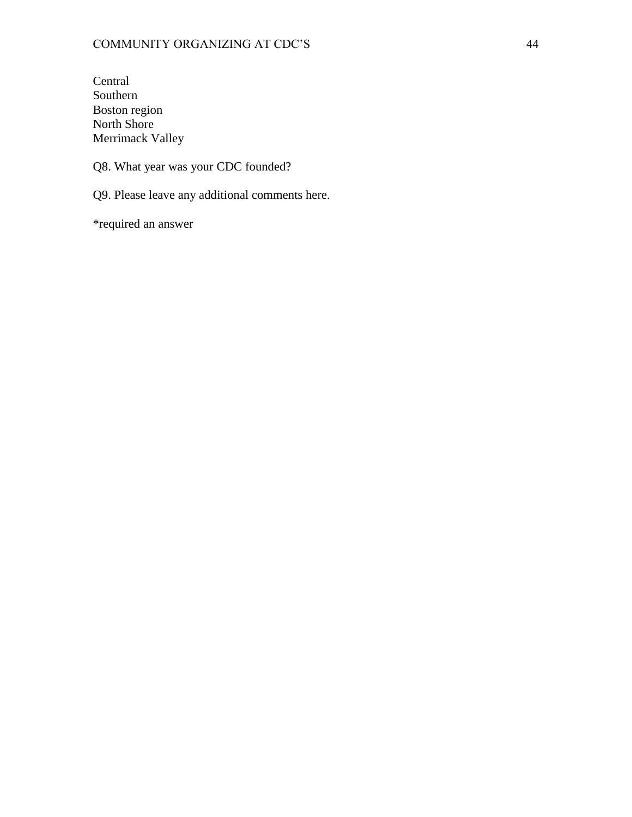**Central** Southern Boston region North Shore Merrimack Valley

Q8. What year was your CDC founded?

Q9. Please leave any additional comments here.

\*required an answer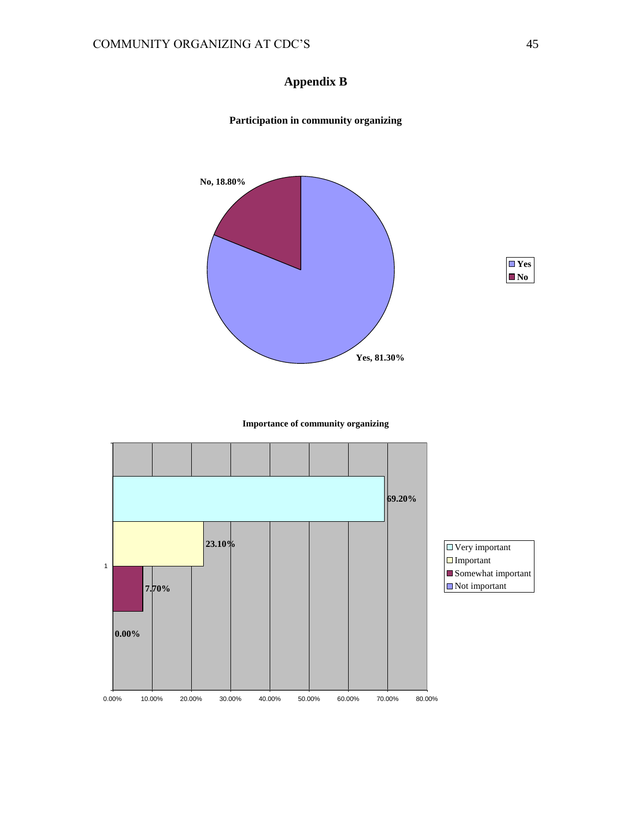## **Appendix B**





#### **Importance of community organizing**



#### **Participation in community organizing**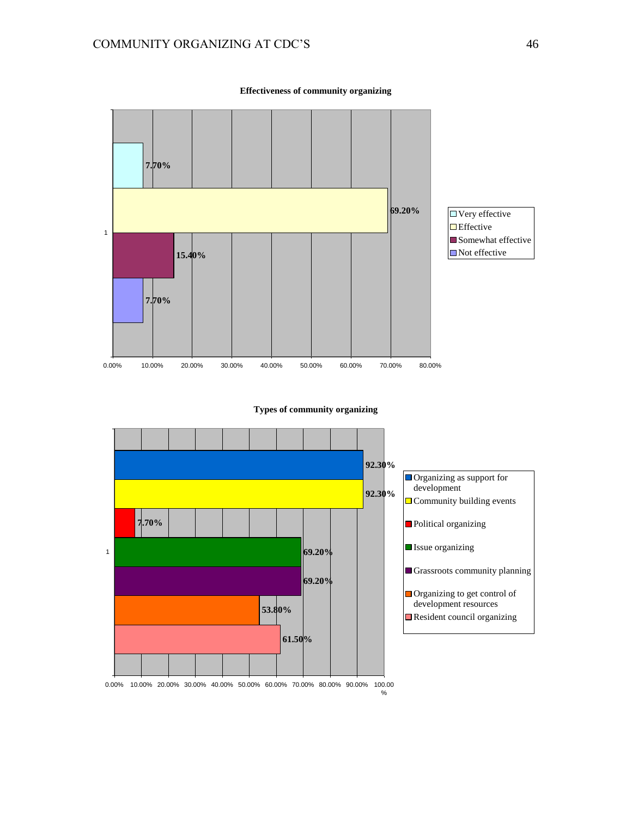

**Effectiveness of community organizing**

**Types of community organizing**

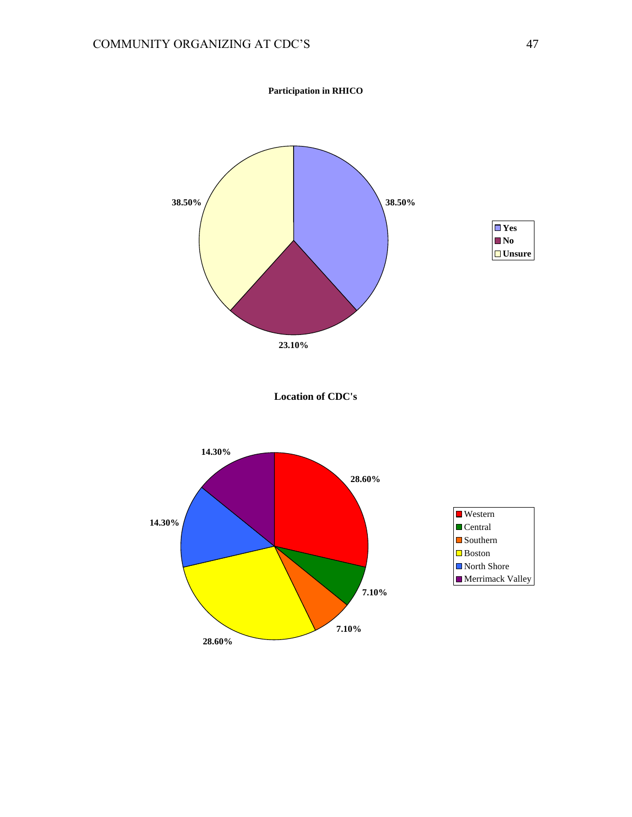



**Location of CDC's**

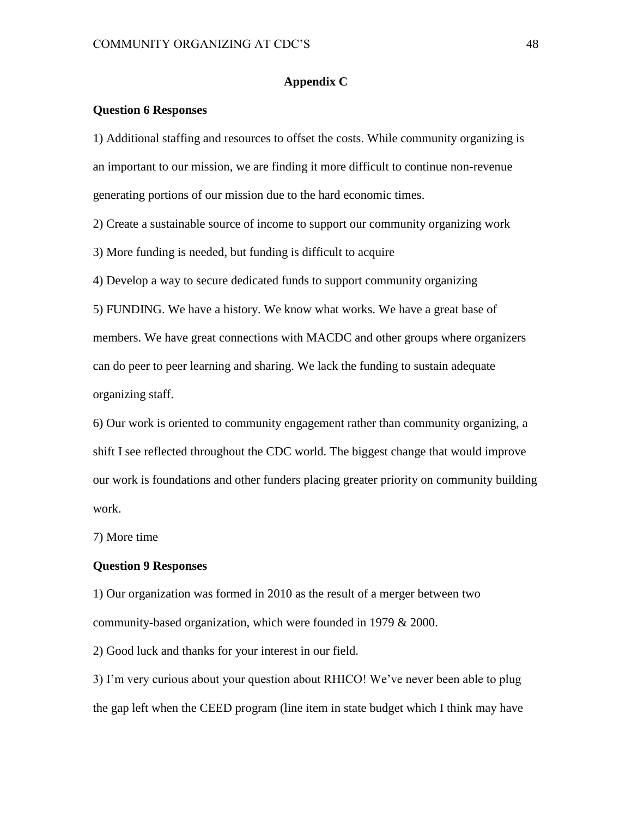#### **Appendix C**

#### **Question 6 Responses**

1) Additional staffing and resources to offset the costs. While community organizing is an important to our mission, we are finding it more difficult to continue non-revenue generating portions of our mission due to the hard economic times.

2) Create a sustainable source of income to support our community organizing work

3) More funding is needed, but funding is difficult to acquire

4) Develop a way to secure dedicated funds to support community organizing

5) FUNDING. We have a history. We know what works. We have a great base of members. We have great connections with MACDC and other groups where organizers can do peer to peer learning and sharing. We lack the funding to sustain adequate organizing staff.

6) Our work is oriented to community engagement rather than community organizing, a shift I see reflected throughout the CDC world. The biggest change that would improve our work is foundations and other funders placing greater priority on community building work.

7) More time

#### **Question 9 Responses**

1) Our organization was formed in 2010 as the result of a merger between two community-based organization, which were founded in 1979 & 2000.

2) Good luck and thanks for your interest in our field.

3) I'm very curious about your question about RHICO! We've never been able to plug the gap left when the CEED program (line item in state budget which I think may have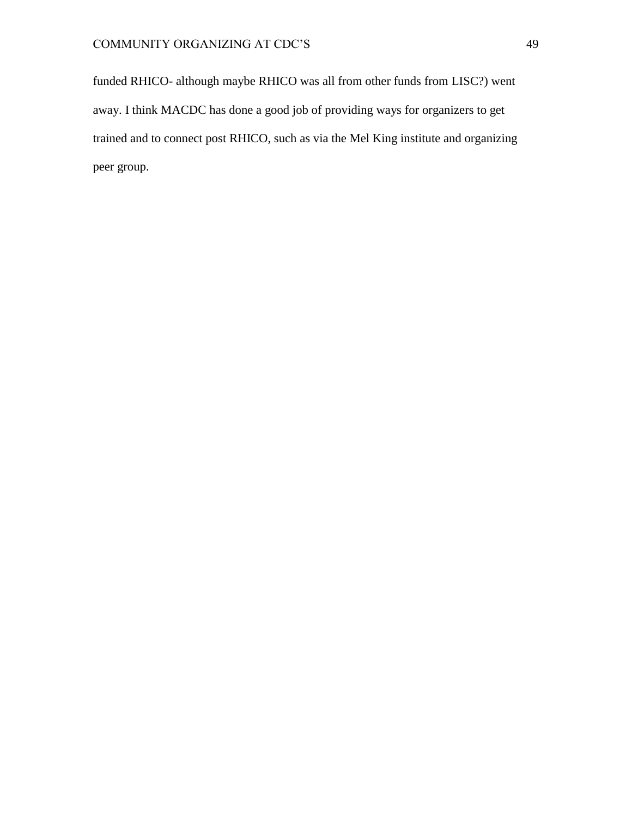funded RHICO- although maybe RHICO was all from other funds from LISC?) went away. I think MACDC has done a good job of providing ways for organizers to get trained and to connect post RHICO, such as via the Mel King institute and organizing peer group.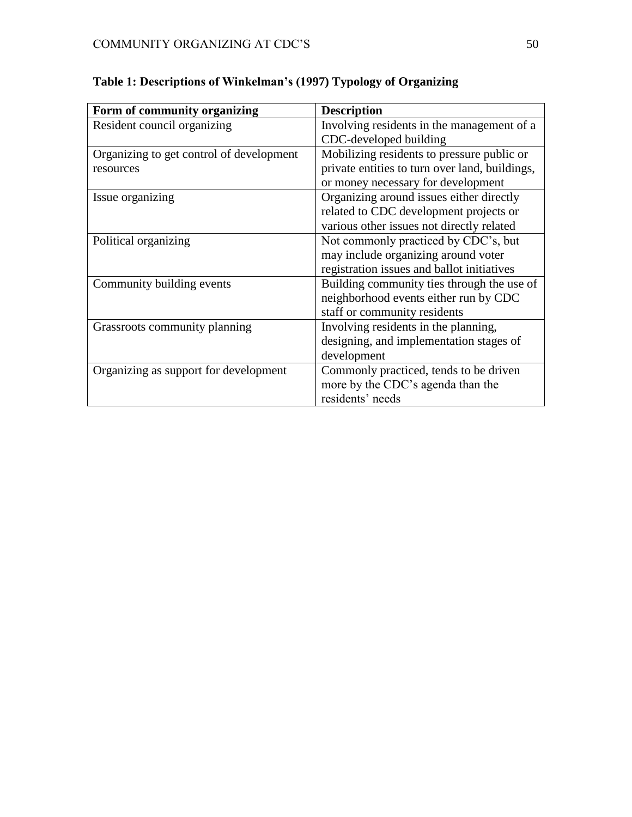| Form of community organizing             | <b>Description</b>                             |
|------------------------------------------|------------------------------------------------|
| Resident council organizing              | Involving residents in the management of a     |
|                                          | CDC-developed building                         |
| Organizing to get control of development | Mobilizing residents to pressure public or     |
| resources                                | private entities to turn over land, buildings, |
|                                          | or money necessary for development             |
| Issue organizing                         | Organizing around issues either directly       |
|                                          | related to CDC development projects or         |
|                                          | various other issues not directly related      |
| Political organizing                     | Not commonly practiced by CDC's, but           |
|                                          | may include organizing around voter            |
|                                          | registration issues and ballot initiatives     |
| Community building events                | Building community ties through the use of     |
|                                          | neighborhood events either run by CDC          |
|                                          | staff or community residents                   |
| Grassroots community planning            | Involving residents in the planning,           |
|                                          | designing, and implementation stages of        |
|                                          | development                                    |
| Organizing as support for development    | Commonly practiced, tends to be driven         |
|                                          | more by the CDC's agenda than the              |
|                                          | residents' needs                               |

# **Table 1: Descriptions of Winkelman's (1997) Typology of Organizing**